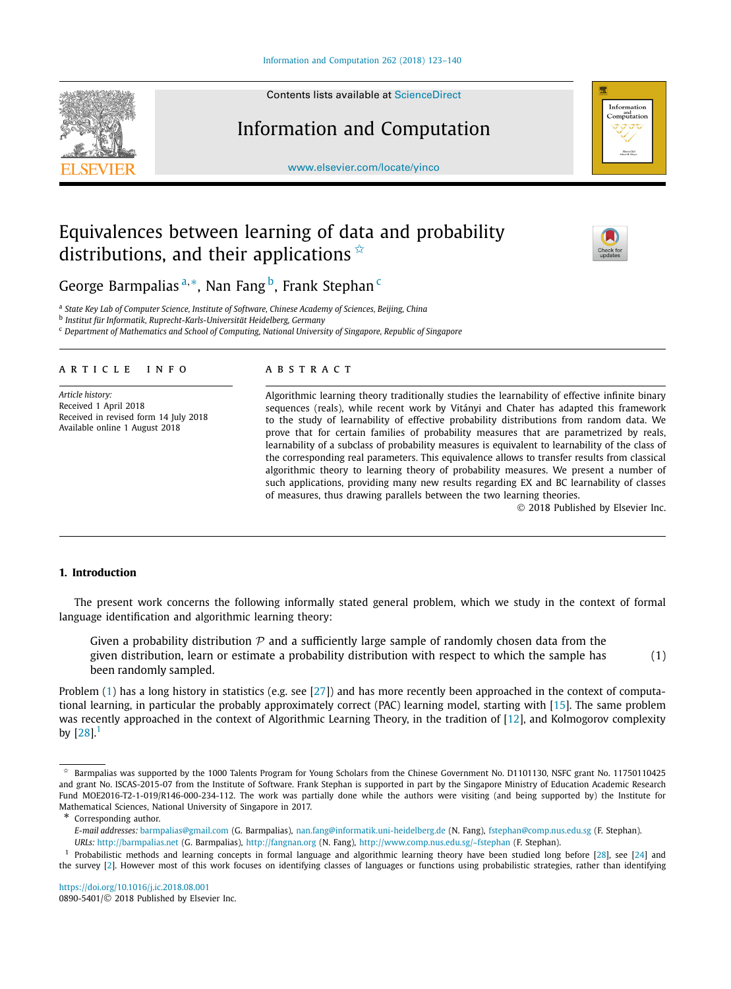Contents lists available at [ScienceDirect](http://www.ScienceDirect.com/)

# Information and Computation

[www.elsevier.com/locate/yinco](http://www.elsevier.com/locate/yinco)

# Equivalences between learning of data and probability distributions, and their applications  $\dot{\mathbf{x}}$

George Barmpalias<sup>a,∗</sup>, Nan Fang<sup>b</sup>, Frank Stephan<sup>c</sup>

<sup>a</sup> *State Key Lab of Computer Science, Institute of Software, Chinese Academy of Sciences, Beijing, China*

<sup>b</sup> *Institut für Informatik, Ruprecht-Karls-Universität Heidelberg, Germany*

<sup>c</sup> *Department of Mathematics and School of Computing, National University of Singapore, Republic of Singapore*

# A R T I C L E I N F O A B S T R A C T

*Article history:* Received 1 April 2018 Received in revised form 14 July 2018 Available online 1 August 2018

Algorithmic learning theory traditionally studies the learnability of effective infinite binary sequences (reals), while recent work by Vitányi and Chater has adapted this framework to the study of learnability of effective probability distributions from random data. We prove that for certain families of probability measures that are parametrized by reals, learnability of a subclass of probability measures is equivalent to learnability of the class of the corresponding real parameters. This equivalence allows to transfer results from classical algorithmic theory to learning theory of probability measures. We present a number of such applications, providing many new results regarding EX and BC learnability of classes of measures, thus drawing parallels between the two learning theories.

© 2018 Published by Elsevier Inc.

# **1. Introduction**

The present work concerns the following informally stated general problem, which we study in the context of formal language identification and algorithmic learning theory:

Given a probability distribution  $P$  and a sufficiently large sample of randomly chosen data from the given distribution, learn or estimate a probability distribution with respect to which the sample has been randomly sampled. (1)

Problem (1) has a long history in statistics (e.g. see [\[27\]](#page-17-0)) and has more recently been approached in the context of computational learning, in particular the probably approximately correct (PAC) learning model, starting with [\[15\]](#page-16-0). The same problem was recently approached in the context of Algorithmic Learning Theory, in the tradition of [\[12\]](#page-16-0), and Kolmogorov complexity by  $[28]$ <sup>1</sup>

\* Corresponding author.

*URLs:* <http://barmpalias.net> (G. Barmpalias), <http://fangnan.org> (N. Fang), <http://www.comp.nus.edu.sg/~fstephan> (F. Stephan).

<https://doi.org/10.1016/j.ic.2018.08.001> 0890-5401/© 2018 Published by Elsevier Inc.

<span id="page-0-0"></span>





Barmpalias was supported by the 1000 Talents Program for Young Scholars from the Chinese Government No. D1101130, NSFC grant No. 11750110425 and grant No. ISCAS-2015-07 from the Institute of Software. Frank Stephan is supported in part by the Singapore Ministry of Education Academic Research Fund MOE2016-T2-1-019/R146-000-234-112. The work was partially done while the authors were visiting (and being supported by) the Institute for Mathematical Sciences, National University of Singapore in 2017.

*E-mail addresses:* [barmpalias@gmail.com](mailto:barmpalias@gmail.com) (G. Barmpalias), [nan.fang@informatik.uni-heidelberg.de](mailto:nan.fang@informatik.uni-heidelberg.de) (N. Fang), [fstephan@comp.nus.edu.sg](mailto:fstephan@comp.nus.edu.sg) (F. Stephan).

<sup>&</sup>lt;sup>1</sup> Probabilistic methods and learning concepts in formal language and algorithmic learning theory have been studied long before [\[28\]](#page-17-0), see [\[24\]](#page-16-0) and the survey [\[2\]](#page-16-0). However most of this work focuses on identifying classes of languages or functions using probabilistic strategies, rather than identifying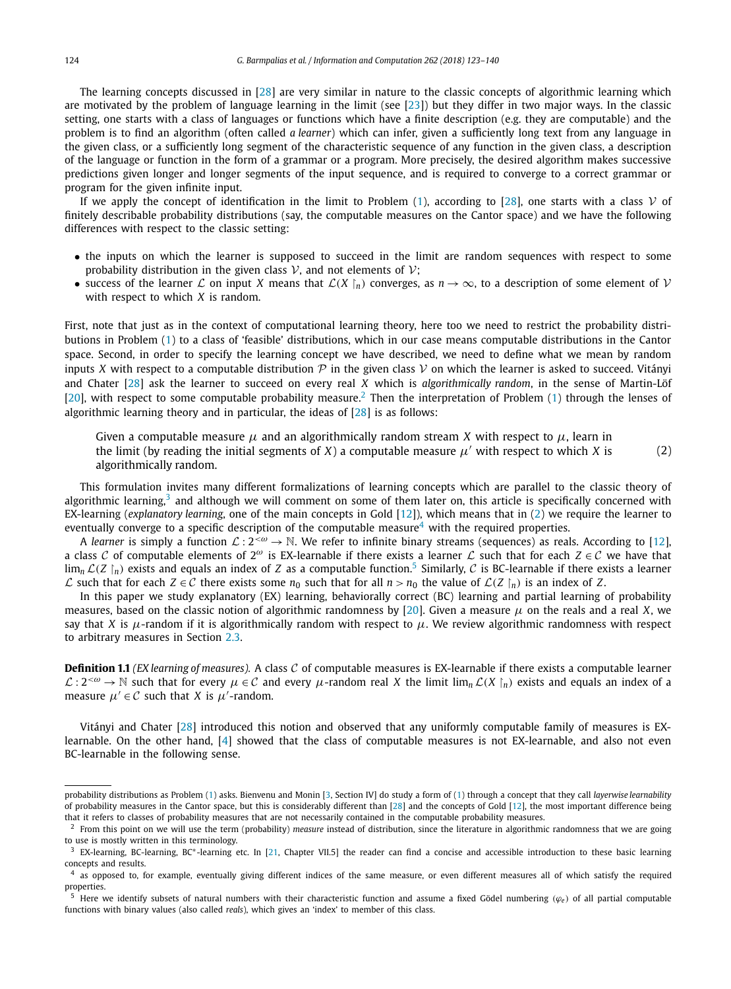<span id="page-1-0"></span>The learning concepts discussed in [\[28\]](#page-17-0) are very similar in nature to the classic concepts of algorithmic learning which are motivated by the problem of language learning in the limit (see [\[23\]](#page-16-0)) but they differ in two major ways. In the classic setting, one starts with a class of languages or functions which have a finite description (e.g. they are computable) and the problem is to find an algorithm (often called *a learner*) which can infer, given a sufficiently long text from any language in the given class, or a sufficiently long segment of the characteristic sequence of any function in the given class, a description of the language or function in the form of a grammar or a program. More precisely, the desired algorithm makes successive predictions given longer and longer segments of the input sequence, and is required to converge to a correct grammar or program for the given infinite input.

If we apply the concept of identification in the limit to Problem [\(1\)](#page-0-0), according to [\[28\]](#page-17-0), one starts with a class  $V$  of finitely describable probability distributions (say, the computable measures on the Cantor space) and we have the following differences with respect to the classic setting:

- the inputs on which the learner is supposed to succeed in the limit are random sequences with respect to some probability distribution in the given class  $\mathcal V$ , and not elements of  $\mathcal V$ ;
- success of the learner  $\mathcal L$  on input *X* means that  $\mathcal L(X \mid_n)$  converges, as  $n \to \infty$ , to a description of some element of  $\mathcal V$ with respect to which *X* is random.

First, note that just as in the context of computational learning theory, here too we need to restrict the probability distributions in Problem [\(1\)](#page-0-0) to a class of 'feasible' distributions, which in our case means computable distributions in the Cantor space. Second, in order to specify the learning concept we have described, we need to define what we mean by random inputs *X* with respect to a computable distribution  $P$  in the given class  $V$  on which the learner is asked to succeed. Vitányi and Chater [\[28\]](#page-17-0) ask the learner to succeed on every real *X* which is *algorithmically random*, in the sense of Martin-Löf [\[20\]](#page-16-0), with respect to some computable probability measure.<sup>2</sup> Then the interpretation of Problem [\(1\)](#page-0-0) through the lenses of algorithmic learning theory and in particular, the ideas of [\[28\]](#page-17-0) is as follows:

Given a computable measure *μ* and an algorithmically random stream *X* with respect to *μ*, learn in the limit (by reading the initial segments of *X*) a computable measure  $\mu'$  with respect to which *X* is algorithmically random. (2)

This formulation invites many different formalizations of learning concepts which are parallel to the classic theory of algorithmic learning,<sup>3</sup> and although we will comment on some of them later on, this article is specifically concerned with EX-learning (*explanatory learning*, one of the main concepts in Gold [\[12\]](#page-16-0)), which means that in (2) we require the learner to eventually converge to a specific description of the computable measure<sup>4</sup> with the required properties.

A *learner* is simply a function  $\mathcal{L}: 2^{&0} \to \mathbb{N}$ . We refer to infinite binary streams (sequences) as reals. According to [\[12\]](#page-16-0), a class C of computable elements of  $2^\omega$  is EX-learnable if there exists a learner L such that for each  $Z \in \mathcal{C}$  we have that  $\lim_{n} \mathcal{L}(Z \mid n)$  exists and equals an index of *Z* as a computable function.<sup>5</sup> Similarly, *C* is BC-learnable if there exists a learner *L* such that for each *Z* ∈ *C* there exists some *n*<sub>0</sub> such that for all *n* > *n*<sub>0</sub> the value of *L*(*Z* |<sub>*n*</sub>)</sub> is an index of *Z*.

In this paper we study explanatory (EX) learning, behaviorally correct (BC) learning and partial learning of probability measures, based on the classic notion of algorithmic randomness by [\[20\]](#page-16-0). Given a measure  $\mu$  on the reals and a real *X*, we say that *X* is  $\mu$ -random if it is algorithmically random with respect to  $\mu$ . We review algorithmic randomness with respect to arbitrary measures in Section [2.3.](#page-5-0)

**Definition 1.1** *(EX learning of measures).* A class C of computable measures is EX-learnable if there exists a computable learner  $\mathcal{L}: 2^{<\omega} \to \mathbb{N}$  such that for every  $\mu \in \mathcal{C}$  and every  $\mu$ -random real *X* the limit lim<sub>n</sub>  $\mathcal{L}(X \mid n)$  exists and equals an index of a measure  $\mu' \in C$  such that *X* is  $\mu'$ -random.

Vitányi and Chater [\[28\]](#page-17-0) introduced this notion and observed that any uniformly computable family of measures is EXlearnable. On the other hand, [\[4\]](#page-16-0) showed that the class of computable measures is not EX-learnable, and also not even BC-learnable in the following sense.

probability distributions as Problem [\(1\)](#page-0-0) asks. Bienvenu and Monin [\[3,](#page-16-0) Section IV] do study a form of [\(1\)](#page-0-0) through a concept that they call *layerwise learnability* of probability measures in the Cantor space, but this is considerably different than [\[28\]](#page-17-0) and the concepts of Gold [\[12\]](#page-16-0), the most important difference being that it refers to classes of probability measures that are not necessarily contained in the computable probability measures.

<sup>2</sup> From this point on we will use the term (probability) *measure* instead of distribution, since the literature in algorithmic randomness that we are going to use is mostly written in this terminology.

<sup>&</sup>lt;sup>3</sup> EX-learning, BC-learning, BC<sup>\*</sup>-learning etc. In [\[21,](#page-16-0) Chapter VII.5] the reader can find a concise and accessible introduction to these basic learning concepts and results.

 $4$  as opposed to, for example, eventually giving different indices of the same measure, or even different measures all of which satisfy the required properties.

<sup>&</sup>lt;sup>5</sup> Here we identify subsets of natural numbers with their characteristic function and assume a fixed Gödel numbering (*ϕe*) of all partial computable functions with binary values (also called *reals*), which gives an 'index' to member of this class.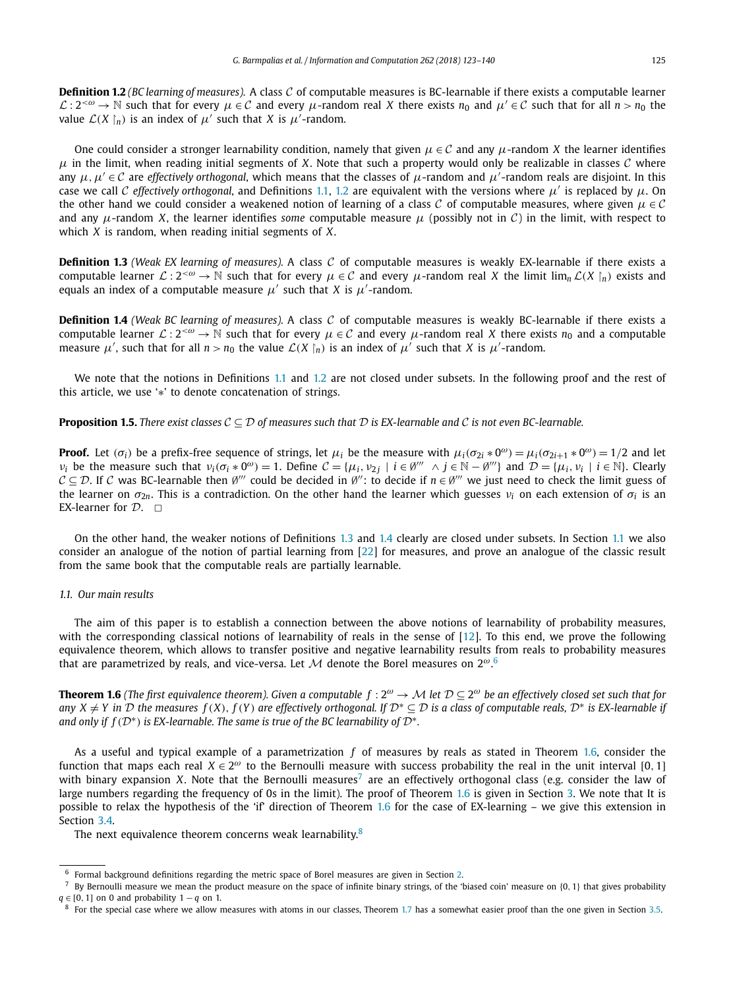<span id="page-2-0"></span>**Definition 1.2** *(BC learning of measures).* A class C of computable measures is BC-learnable if there exists a computable learner  $\mathcal{L}: 2^{<\omega} \to \mathbb{N}$  such that for every  $\mu \in \mathcal{C}$  and every  $\mu$ -random real X there exists  $n_0$  and  $\mu' \in \mathcal{C}$  such that for all  $n > n_0$  the value  $\mathcal{L}(X \restriction_n)$  is an index of  $\mu'$  such that *X* is  $\mu'$ -random.

One could consider a stronger learnability condition, namely that given  $\mu \in \mathcal{C}$  and any  $\mu$ -random X the learner identifies  $\mu$  in the limit, when reading initial segments of *X*. Note that such a property would only be realizable in classes C where any  $\mu, \mu' \in \mathcal{C}$  are *effectively* orthogonal, which means that the classes of  $\mu$ -random and  $\mu'$ -random reals are disjoint. In this case we call C *effectively orthogonal*, and Definitions [1.1,](#page-1-0) 1.2 are equivalent with the versions where  $\mu'$  is replaced by  $\mu$ . On the other hand we could consider <sup>a</sup> weakened notion of learning of <sup>a</sup> class C of computable measures, where given *μ* ∈ C and any  $\mu$ -random *X*, the learner identifies *some* computable measure  $\mu$  (possibly not in C) in the limit, with respect to which *X* is random, when reading initial segments of *X*.

**Definition 1.3** *(Weak EX learning of measures).* A class C of computable measures is weakly EX-learnable if there exists a computable learner  $\mathcal{L}: 2^{<\omega} \to \mathbb{N}$  such that for every  $\mu \in \mathcal{C}$  and every  $\mu$ -random real *X* the limit lim<sub>n</sub>  $\mathcal{L}(X \mid n)$  exists and equals an index of a computable measure  $\mu'$  such that *X* is  $\mu'$ -random.

**Definition 1.4** *(Weak BC learning of measures).* A class C of computable measures is weakly BC-learnable if there exists a computable learner  $\mathcal{L}: 2^{<\omega} \to \mathbb{N}$  such that for every  $\mu \in \mathcal{C}$  and every  $\mu$ -random real *X* there exists  $n_0$  and a computable measure  $\mu'$ , such that for all  $n > n_0$  the value  $\mathcal{L}(X \nvert_n)$  is an index of  $\mu'$  such that *X* is  $\mu'$ -random.

We note that the notions in Definitions [1.1](#page-1-0) and 1.2 are not closed under subsets. In the following proof and the rest of this article, we use '∗' to denote concatenation of strings.

### **Proposition 1.5.** There exist classes  $C \subseteq D$  of measures such that D is EX-learnable and C is not even BC-learnable.

**Proof.** Let  $(\sigma_i)$  be a prefix-free sequence of strings, let  $\mu_i$  be the measure with  $\mu_i(\sigma_{2i} * 0^\omega) = \mu_i(\sigma_{2i+1} * 0^\omega) = 1/2$  and let  $v_i$  be the measure such that  $v_i(\sigma_i * 0^\omega) = 1$ . Define  $C = {\mu_i, \nu_2 \mid i \in \emptyset^{\prime\prime}} \land j \in \mathbb{N} - \emptyset^{\prime\prime\prime}}$  and  $D = {\mu_i, \nu_i \mid i \in \mathbb{N}}$ . Clearly  $C \subseteq D$ . If C was BC-learnable then  $\emptyset^{\prime\prime}$  could be decided in  $\emptyset^{\prime\prime}$ : to decide if  $n \in \emptyset^{\prime\prime\prime}$  we just need to check the limit guess of the learner on  $\sigma_{2n}$ . This is a contradiction. On the other hand the learner which guesses  $v_i$  on each extension of  $\sigma_i$  is an EX-learner for  $\mathcal{D}$ .  $\Box$ 

On the other hand, the weaker notions of Definitions 1.3 and 1.4 clearly are closed under subsets. In Section 1.1 we also consider an analogue of the notion of partial learning from [\[22\]](#page-16-0) for measures, and prove an analogue of the classic result from the same book that the computable reals are partially learnable.

# *1.1. Our main results*

The aim of this paper is to establish a connection between the above notions of learnability of probability measures, with the corresponding classical notions of learnability of reals in the sense of [\[12\]](#page-16-0). To this end, we prove the following equivalence theorem, which allows to transfer positive and negative learnability results from reals to probability measures that are parametrized by reals, and vice-versa. Let  $\mathcal M$  denote the Borel measures on  $2^{\omega}$ .<sup>6</sup>

**Theorem 1.6** (The first equivalence theorem). Given a computable  $f: 2^{\omega} \to M$  let  $\mathcal{D} \subset 2^{\omega}$  be an effectively closed set such that for any  $X \neq Y$  in  $D$  the measures  $f(X)$ ,  $f(Y)$  are effectively orthogonal. If  $D^* \subseteq D$  is a class of computable reals,  $D^*$  is EX-learnable if *and only if*  $f(D^*)$  *is EX-learnable. The same is true of the BC learnability of*  $D^*$ *.* 

As a useful and typical example of a parametrization *f* of measures by reals as stated in Theorem 1.6, consider the function that maps each real  $X \in 2^{\omega}$  to the Bernoulli measure with success probability the real in the unit interval [0, 1] with binary expansion *X*. Note that the Bernoulli measures<sup>7</sup> are an effectively orthogonal class (e.g. consider the law of large numbers regarding the frequency of 0s in the limit). The proof of Theorem 1.6 is given in Section [3.](#page-6-0) We note that It is possible to relax the hypothesis of the 'if' direction of Theorem 1.6 for the case of EX-learning – we give this extension in Section [3.4.](#page-10-0)

The next equivalence theorem concerns weak learnability.<sup>8</sup>

<sup>6</sup> Formal background definitions regarding the metric space of Borel measures are given in Section [2.](#page-4-0)

<sup>7</sup> By Bernoulli measure we mean the product measure on the space of infinite binary strings, of the 'biased coin' measure on {0*,* 1} that gives probability  $q \in [0, 1]$  on 0 and probability  $1 - q$  on 1.

 $8\,$  For the special case where we allow measures with atoms in our classes, Theorem [1.7](#page-3-0) has a somewhat easier proof than the one given in Section [3.5.](#page-12-0)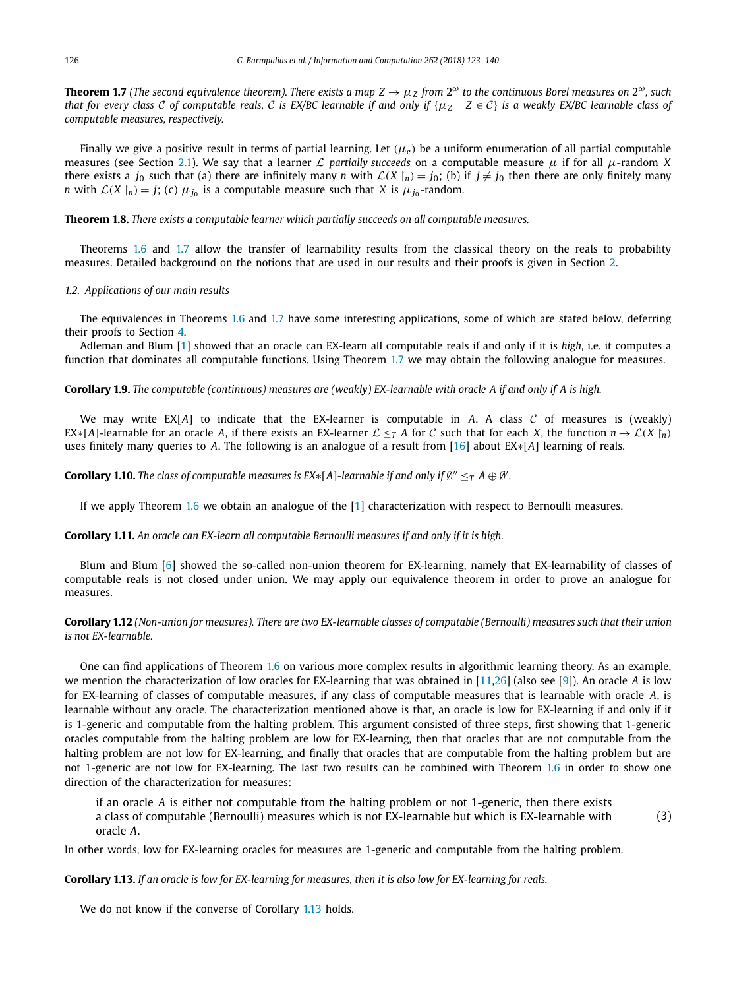<span id="page-3-0"></span>**Theorem 1.7** (The second equivalence theorem). There exists a map  $Z \to \mu_Z$  from  $2^\omega$  to the continuous Borel measures on  $2^\omega$ , such that for every class C of computable reals, C is EX/BC learnable if and only if  $\{ \mu_Z \mid Z \in C \}$  is a weakly EX/BC learnable class of *computable measures, respectively.*

Finally we give a positive result in terms of partial learning. Let *(μ<sup>e</sup> )* be a uniform enumeration of all partial computable measures (see Section [2.1\)](#page-4-0). We say that <sup>a</sup> learner L *partially succeeds* on <sup>a</sup> computable measure *μ* if for all *μ*-random *<sup>X</sup>* there exists a  $j_0$  such that (a) there are infinitely many *n* with  $\mathcal{L}(X \mid n) = j_0$ ; (b) if  $j \neq j_0$  then there are only finitely many *n* with  $\mathcal{L}(X \mid_n) = j$ ; (c)  $\mu_{j_0}$  is a computable measure such that *X* is  $\mu_{j_0}$ -random.

**Theorem 1.8.** *There exists a computable learner which partially succeeds on all computable measures.*

Theorems [1.6](#page-2-0) and 1.7 allow the transfer of learnability results from the classical theory on the reals to probability measures. Detailed background on the notions that are used in our results and their proofs is given in Section [2.](#page-4-0)

### *1.2. Applications of our main results*

The equivalences in Theorems [1.6](#page-2-0) and 1.7 have some interesting applications, some of which are stated below, deferring their proofs to Section [4.](#page-14-0)

Adleman and Blum [\[1\]](#page-16-0) showed that an oracle can EX-learn all computable reals if and only if it is *high*, i.e. it computes a function that dominates all computable functions. Using Theorem 1.7 we may obtain the following analogue for measures.

**Corollary 1.9.** The computable (continuous) measures are (weakly) EX-learnable with oracle A if and only if A is high.

We may write  $EX[A]$  to indicate that the EX-learner is computable in  $A$ . A class  $C$  of measures is (weakly) EX∗[*A*]-learnable for an oracle *A*, if there exists an EX-learner  $\mathcal{L} \leq_T A$  for *C* such that for each *X*, the function  $n \to \mathcal{L}(X \mid n)$ uses finitely many queries to *A*. The following is an analogue of a result from [\[16\]](#page-16-0) about EX∗[*A*] learning of reals.

**Corollary 1.10.** The class of computable measures is  $EX*[A]$ -learnable if and only if  $\emptyset'' \leq_T A \oplus \emptyset'$ .

If we apply Theorem [1.6](#page-2-0) we obtain an analogue of the [\[1\]](#page-16-0) characterization with respect to Bernoulli measures.

**Corollary 1.11.** *An oracle can EX-learn all computable Bernoulli measures if and only if it is high.*

Blum and Blum [\[6\]](#page-16-0) showed the so-called non-union theorem for EX-learning, namely that EX-learnability of classes of computable reals is not closed under union. We may apply our equivalence theorem in order to prove an analogue for measures.

**Corollary 1.12** (Non-union for measures). There are two EX-learnable classes of computable (Bernoulli) measures such that their union *is not EX-learnable.*

One can find applications of Theorem [1.6](#page-2-0) on various more complex results in algorithmic learning theory. As an example, we mention the characterization of low oracles for EX-learning that was obtained in [\[11,26\]](#page-16-0) (also see [\[9\]](#page-16-0)). An oracle *A* is low for EX-learning of classes of computable measures, if any class of computable measures that is learnable with oracle *A*, is learnable without any oracle. The characterization mentioned above is that, an oracle is low for EX-learning if and only if it is 1-generic and computable from the halting problem. This argument consisted of three steps, first showing that 1-generic oracles computable from the halting problem are low for EX-learning, then that oracles that are not computable from the halting problem are not low for EX-learning, and finally that oracles that are computable from the halting problem but are not 1-generic are not low for EX-learning. The last two results can be combined with Theorem [1.6](#page-2-0) in order to show one direction of the characterization for measures:

if an oracle *A* is either not computable from the halting problem or not 1-generic, then there exists a class of computable (Bernoulli) measures which is not EX-learnable but which is EX-learnable with oracle *A*. (3)

In other words, low for EX-learning oracles for measures are 1-generic and computable from the halting problem.

Corollary 1.13. If an oracle is low for EX-learning for measures, then it is also low for EX-learning for reals.

We do not know if the converse of Corollary 1.13 holds.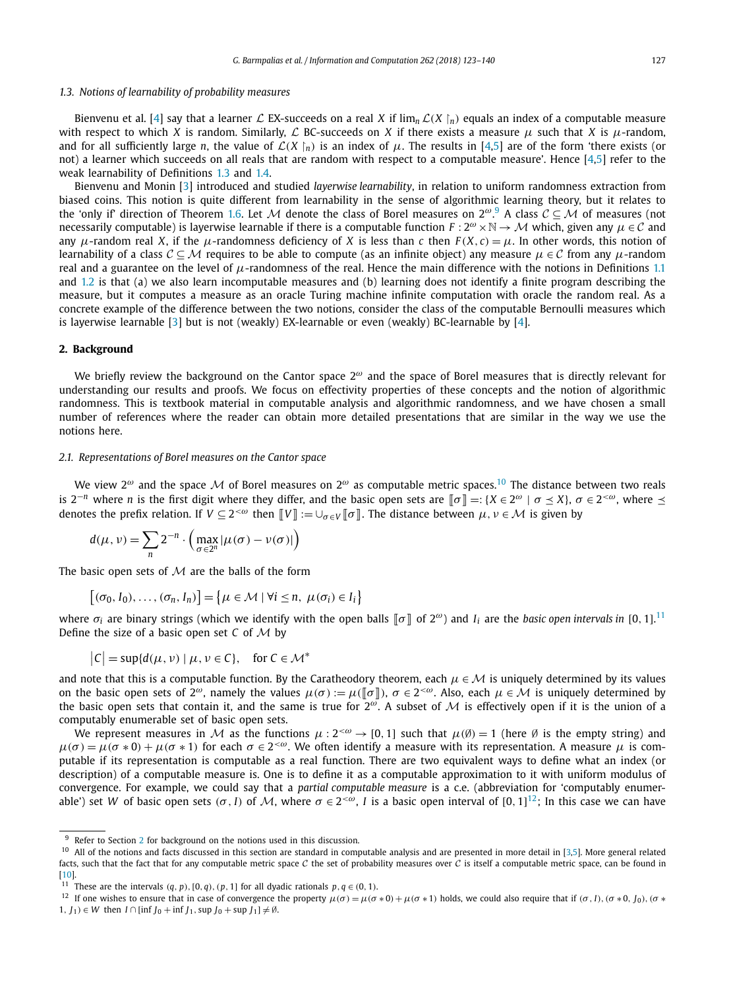## <span id="page-4-0"></span>*1.3. Notions of learnability of probability measures*

Bienvenu et al. [\[4\]](#page-16-0) say that a learner  $\mathcal L$  EX-succeeds on a real  $X$  if  $\lim_n \mathcal L(X\restriction_n)$  equals an index of a computable measure with respect to which *X* is random. Similarly, *L* BC-succeeds on *X* if there exists a measure  $\mu$  such that *X* is  $\mu$ -random, and for all sufficiently large *n*, the value of  $\mathcal{L}(X \mid_n)$  is an index of  $\mu$ . The results in [\[4,5\]](#page-16-0) are of the form 'there exists (or not) a learner which succeeds on all reals that are random with respect to a computable measure'. Hence [\[4,5\]](#page-16-0) refer to the weak learnability of Definitions [1.3](#page-2-0) and [1.4.](#page-2-0)

Bienvenu and Monin [\[3\]](#page-16-0) introduced and studied *layerwise learnability*, in relation to uniform randomness extraction from biased coins. This notion is quite different from learnability in the sense of algorithmic learning theory, but it relates to the 'only if' direction of Theorem [1.6.](#page-2-0) Let M denote the class of Borel measures on  $2^{\omega}$ .<sup>9</sup> A class  $C \subseteq M$  of measures (not necessarily computable) is layerwise learnable if there is a computable function  $F: 2^{\omega} \times \mathbb{N} \to M$  which, given any  $\mu \in \mathcal{C}$  and any  $\mu$ -random real *X*, if the  $\mu$ -randomness deficiency of *X* is less than *c* then  $F(X, c) = \mu$ . In other words, this notion of learnability of a class  $C \subseteq M$  requires to be able to compute (as an infinite object) any measure  $\mu \in C$  from any  $\mu$ -random real and a guarantee on the level of  $\mu$ -randomness of the real. Hence the main difference with the notions in Definitions [1.1](#page-1-0) and [1.2](#page-2-0) is that (a) we also learn incomputable measures and (b) learning does not identify a finite program describing the measure, but it computes a measure as an oracle Turing machine infinite computation with oracle the random real. As a concrete example of the difference between the two notions, consider the class of the computable Bernoulli measures which is layerwise learnable [\[3\]](#page-16-0) but is not (weakly) EX-learnable or even (weakly) BC-learnable by [\[4\]](#page-16-0).

# **2. Background**

We briefly review the background on the Cantor space 2*<sup>ω</sup>* and the space of Borel measures that is directly relevant for understanding our results and proofs. We focus on effectivity properties of these concepts and the notion of algorithmic randomness. This is textbook material in computable analysis and algorithmic randomness, and we have chosen a small number of references where the reader can obtain more detailed presentations that are similar in the way we use the notions here.

#### *2.1. Representations of Borel measures on the Cantor space*

We view <sup>2</sup>*<sup>ω</sup>* and the space <sup>M</sup> of Borel measures on <sup>2</sup>*<sup>ω</sup>* as computable metric spaces.<sup>10</sup> The distance between two reals is  $2^{-n}$  where *n* is the first digit where they differ, and the basic open sets are  $\llbracket \sigma \rrbracket =: \{ X \in 2^{\omega} \mid \sigma \leq X \}$ ,  $\sigma \in 2^{<\omega}$ , where  $\leq$ denotes the prefix relation. If  $V \subseteq 2^{&\omega}$  then  $\llbracket V \rrbracket := \bigcup_{\sigma \in V} \llbracket \sigma \rrbracket$ . The distance between  $\mu, \nu \in \mathcal{M}$  is given by

$$
d(\mu, \nu) = \sum_{n} 2^{-n} \cdot \left( \max_{\sigma \in 2^{n}} |\mu(\sigma) - \nu(\sigma)| \right)
$$

The basic open sets of  $M$  are the balls of the form

$$
[(\sigma_0, I_0), \ldots, (\sigma_n, I_n)] = \{ \mu \in \mathcal{M} \mid \forall i \leq n, \ \mu(\sigma_i) \in I_i \}
$$

where  $\sigma_i$  are binary strings (which we identify with the open balls  $\llbracket\sigma\rrbracket$  of 2 $^\omega$ ) and  $I_i$  are the *basic* open *intervals in* [0, 1].<sup>11</sup> Define the size of a basic open set *C* of M by

$$
|C| = \sup\{d(\mu, \nu) \mid \mu, \nu \in C\}, \quad \text{for } C \in \mathcal{M}^*
$$

and note that this is a computable function. By the Caratheodory theorem, each  $\mu \in \mathcal{M}$  is uniquely determined by its values on the basic open sets of  $2^{\omega}$ , namely the values  $\mu(\sigma) := \mu(\sigma \| \sigma)$ ,  $\sigma \in 2^{<\omega}$ . Also, each  $\mu \in \mathcal{M}$  is uniquely determined by the basic open sets that contain it, and the same is true for <sup>2</sup>*ω*. <sup>A</sup> subset of <sup>M</sup> is effectively open if it is the union of <sup>a</sup> computably enumerable set of basic open sets.

We represent measures in M as the functions  $\mu: 2^{<\omega} \to [0,1]$  such that  $\mu(\emptyset) = 1$  (here  $\emptyset$  is the empty string) and  $\mu(\sigma) = \mu(\sigma * 0) + \mu(\sigma * 1)$  for each  $\sigma \in 2^{<\omega}$ . We often identify a measure with its representation. A measure  $\mu$  is computable if its representation is computable as a real function. There are two equivalent ways to define what an index (or description) of a computable measure is. One is to define it as a computable approximation to it with uniform modulus of convergence. For example, we could say that a *partial computable measure* is a c.e. (abbreviation for 'computably enumerable') set *W* of basic open sets  $(\sigma, I)$  of *M*, where  $\sigma \in 2^{<\omega}$ , *I* is a basic open interval of  $[0, 1]^{12}$ ; In this case we can have

 $9$  Refer to Section 2 for background on the notions used in this discussion.

 $10$  All of the notions and facts discussed in this section are standard in computable analysis and are presented in more detail in [\[3,5\]](#page-16-0). More general related facts, such that the fact that for any computable metric space  $C$  the set of probability measures over  $C$  is itself a computable metric space, can be found in [\[10\]](#page-16-0).

<sup>&</sup>lt;sup>11</sup> These are the intervals  $(q, p)$ ,  $[0, q)$ ,  $(p, 1]$  for all dyadic rationals  $p, q \in (0, 1)$ .

<sup>&</sup>lt;sup>12</sup> If one wishes to ensure that in case of convergence the property  $\mu(\sigma) = \mu(\sigma * 0) + \mu(\sigma * 1)$  holds, we could also require that if  $(\sigma, I)$ ,  $(\sigma * 0, I_0)$ ,  $(\sigma * 0, I_0)$ 1*, J*<sub>1</sub>) ∈ *W* then *I* ∩ [inf *J*<sub>0</sub> + inf *J*<sub>1</sub>*,* sup *J*<sub>0</sub> + sup *J*<sub>1</sub>]  $\neq \emptyset$ .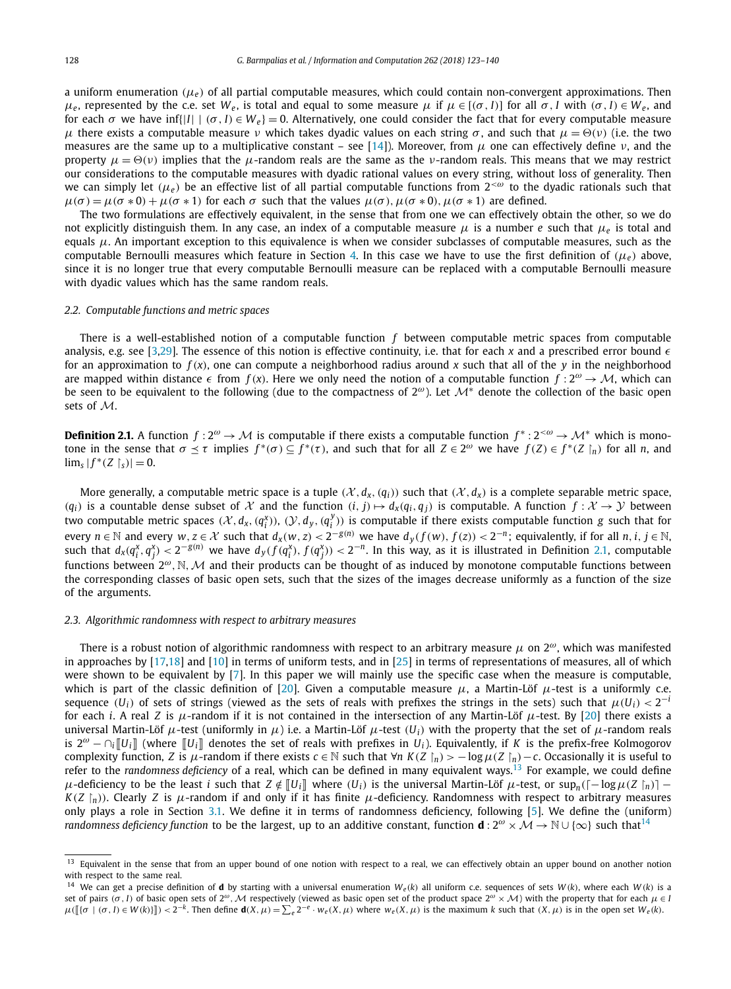<span id="page-5-0"></span>a uniform enumeration  $(\mu_e)$  of all partial computable measures, which could contain non-convergent approximations. Then *μ*<sub>*e*</sub>, represented by the c.e. set *W<sub>e</sub>*, is total and equal to some measure *μ* if *μ* ∈ [(*σ*, *I*)] for all *σ*, *I* with (*σ*, *I*) ∈ *W<sub>e</sub>*, and for each  $\sigma$  we have inf{ $|I|$  |  $(\sigma, I) \in W_e$ } = 0. Alternatively, one could consider the fact that for every computable measure *μ* there exists a computable measure *ν* which takes dyadic values on each string *σ*, and such that  $μ = Θ(ν)$  (i.e. the two measures are the same up to a multiplicative constant – see [\[14\]](#page-16-0)). Moreover, from *μ* one can effectively define *ν*, and the property  $\mu = \Theta(\nu)$  implies that the  $\mu$ -random reals are the same as the *v*-random reals. This means that we may restrict our considerations to the computable measures with dyadic rational values on every string, without loss of generality. Then we can simply let  $(\mu_e)$  be an effective list of all partial computable functions from  $2^{&\omega}$  to the dyadic rationals such that  $\mu(\sigma) = \mu(\sigma * 0) + \mu(\sigma * 1)$  for each  $\sigma$  such that the values  $\mu(\sigma)$ ,  $\mu(\sigma * 0)$ ,  $\mu(\sigma * 1)$  are defined.

The two formulations are effectively equivalent, in the sense that from one we can effectively obtain the other, so we do not explicitly distinguish them. In any case, an index of a computable measure *μ* is a number *e* such that *μ<sup>e</sup>* is total and equals *μ*. An important exception to this equivalence is when we consider subclasses of computable measures, such as the computable Bernoulli measures which feature in Section [4.](#page-14-0) In this case we have to use the first definition of  $(\mu_e)$  above, since it is no longer true that every computable Bernoulli measure can be replaced with a computable Bernoulli measure with dyadic values which has the same random reals.

#### *2.2. Computable functions and metric spaces*

There is a well-established notion of a computable function *f* between computable metric spaces from computable analysis, e.g. see [\[3,29\]](#page-16-0). The essence of this notion is effective continuity, i.e. that for each  $x$  and a prescribed error bound  $\epsilon$ for an approximation to  $f(x)$ , one can compute a neighborhood radius around x such that all of the y in the neighborhood are mapped within distance  $\epsilon$  from  $f(x)$ . Here we only need the notion of a computable function  $f: 2^{\omega} \to M$ , which can be seen to be equivalent to the following (due to the compactness of <sup>2</sup>*ω*). Let <sup>M</sup><sup>∗</sup> denote the collection of the basic open sets of M.

**Definition 2.1.** A function  $f: 2^{\omega} \to M$  is computable if there exists a computable function  $f^*: 2^{<\omega} \to M^*$  which is monotone in the sense that  $\sigma \leq \tau$  implies  $f^*(\sigma) \subseteq f^*(\tau)$ , and such that for all  $Z \in 2^\omega$  we have  $f(Z) \in f^*(Z \upharpoonright_n)$  for all n, and  $\lim_{s} |f^{*}(Z \upharpoonright_{s})| = 0.$ 

More generally, a computable metric space is a tuple  $(X, d_X, (q_i))$  such that  $(X, d_X)$  is a complete separable metric space,  $(q_i)$  is a countable dense subset of X and the function  $(i, j) \mapsto d_x(q_i, q_j)$  is computable. A function  $f: \mathcal{X} \to \mathcal{Y}$  between two computable metric spaces  $(X, d_x, (q_i^X))$ ,  $(Y, d_y, (q_i^Y))$  is computable if there exists computable function g such that for every  $n \in \mathbb{N}$  and every  $w, z \in \mathcal{X}$  such that  $d_x(w, z) < 2^{-g(n)}$  we have  $d_y(f(w), f(z)) < 2^{-n}$ ; equivalently, if for all  $n, i, j \in \mathbb{N}$ , such that  $d_x(q_i^x, q_j^x) < 2^{-g(n)}$  we have  $d_y(f(q_i^x), f(q_j^x)) < 2^{-n}$ . In this way, as it is illustrated in Definition 2.1, computable functions between <sup>2</sup>*ω,*N*,*<sup>M</sup> and their products can be thought of as induced by monotone computable functions between the corresponding classes of basic open sets, such that the sizes of the images decrease uniformly as a function of the size of the arguments.

#### *2.3. Algorithmic randomness with respect to arbitrary measures*

There is a robust notion of algorithmic randomness with respect to an arbitrary measure *μ* on 2*ω*, which was manifested in approaches by [\[17,18\]](#page-16-0) and [\[10\]](#page-16-0) in terms of uniform tests, and in [\[25\]](#page-16-0) in terms of representations of measures, all of which were shown to be equivalent by [\[7\]](#page-16-0). In this paper we will mainly use the specific case when the measure is computable, which is part of the classic definition of [\[20\]](#page-16-0). Given a computable measure  $\mu$ , a Martin-Löf  $\mu$ -test is a uniformly c.e. sequence (*U<sub>i</sub>*) of sets of strings (viewed as the sets of reals with prefixes the strings in the sets) such that  $\mu(U_i) < 2^{-i}$ for each *i*. A real *Z* is *μ*-random if it is not contained in the intersection of any Martin-Löf *μ*-test. By [\[20\]](#page-16-0) there exists a universal Martin-Löf *μ*-test (uniformly in *μ*) i.e. a Martin-Löf *μ*-test (*U<sub>i</sub>*) with the property that the set of *μ*-random reals is  $2^{\omega} - \cap_i ||U_i||$  (where  $||U_i||$  denotes the set of reals with prefixes in *U<sub>i</sub>*). Equivalently, if *K* is the prefix-free Kolmogorov complexity function, Z is  $\mu$ -random if there exists  $c \in \mathbb{N}$  such that  $\forall n$   $K(Z \upharpoonright_n$   $>$   $-$  log  $\mu(Z \upharpoonright_n)$   $-c$ . Occasionally it is useful to refer to the *randomness deficiency* of a real, which can be defined in many equivalent ways.<sup>13</sup> For example, we could define  $\mu$ -deficiency to be the least  $i$  such that  $Z\notin \llbracket U_i\rrbracket$  where  $(U_i)$  is the universal Martin-Löf  $\mu$ -test, or  $\sup_n ( \lceil -\log \mu(Z\restriction_n) \rceil - \ell)$  $K(Z\restriction_n)$ ). Clearly  $Z$  is  $\mu$ -random if and only if it has finite  $\mu$ -deficiency. Randomness with respect to arbitrary measures only plays a role in Section [3.1.](#page-6-0) We define it in terms of randomness deficiency, following [\[5\]](#page-16-0). We define the (uniform) *randomness deficiency function* to be the largest, up to an additive constant, function **d** :  $2^{\omega} \times \mathcal{M} \to \mathbb{N} \cup \{\infty\}$  such that<sup>14</sup>

<sup>&</sup>lt;sup>13</sup> Equivalent in the sense that from an upper bound of one notion with respect to a real, we can effectively obtain an upper bound on another notion with respect to the same real.

<sup>&</sup>lt;sup>14</sup> We can get a precise definition of **d** by starting with a universal enumeration  $W_e(k)$  all uniform c.e. sequences of sets  $W(k)$ , where each  $W(k)$  is a set of pairs  $(\sigma, I)$  of basic open sets of  $2^{\omega}$ , M respectively (viewed as basic open set of the product space  $2^{\omega} \times M$ ) with the property that for each  $\mu \in I$  $\mu([\{\sigma \mid (\sigma, I) \in W(k)\}]) < 2^{-k}$ . Then define  $\mathbf{d}(X, \mu) = \sum_{e} 2^{-e} \cdot w_e(X, \mu)$  where  $w_e(X, \mu)$  is the maximum k such that  $(X, \mu)$  is in the open set  $W_e(k)$ .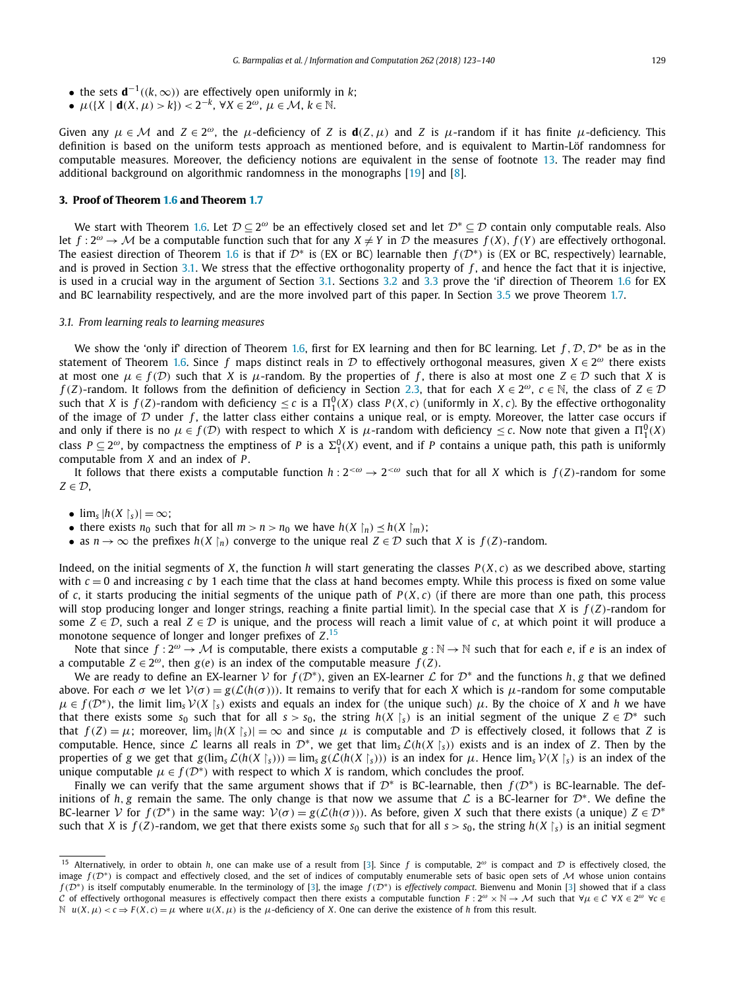- <span id="page-6-0"></span>• the sets  $\mathbf{d}^{-1}((k,\infty))$  are effectively open uniformly in *k*;
- $\bullet$  *μ*({*X* | **d**(*X, μ*) > *k*}) < 2<sup>−*k*</sup>, ∀*X* ∈ 2<sup>ω</sup>, *μ* ∈ *M*, *k* ∈ N.

Given any  $\mu \in \mathcal{M}$  and  $Z \in 2^{\omega}$ , the *μ*-deficiency of *Z* is  $d(Z, \mu)$  and *Z* is *μ*-random if it has finite *μ*-deficiency. This definition is based on the uniform tests approach as mentioned before, and is equivalent to Martin-Löf randomness for computable measures. Moreover, the deficiency notions are equivalent in the sense of footnote [13.](#page-5-0) The reader may find additional background on algorithmic randomness in the monographs [\[19\]](#page-16-0) and [\[8\]](#page-16-0).

#### **3. Proof of Theorem [1.6](#page-2-0) and Theorem [1.7](#page-3-0)**

We start with Theorem [1.6.](#page-2-0) Let  $\mathcal{D} \subseteq 2^{\omega}$  be an effectively closed set and let  $\mathcal{D}^* \subseteq \mathcal{D}$  contain only computable reals. Also let  $f: 2^{\omega} \to M$  be a computable function such that for any  $X \neq Y$  in D the measures  $f(X)$ ,  $f(Y)$  are effectively orthogonal. The easiest direction of Theorem [1.6](#page-2-0) is that if  $\mathcal{D}^*$  is (EX or BC) learnable then  $f(\mathcal{D}^*)$  is (EX or BC, respectively) learnable, and is proved in Section 3.1. We stress that the effective orthogonality property of f, and hence the fact that it is injective, is used in a crucial way in the argument of Section 3.1. Sections [3.2](#page-7-0) and [3.3](#page-9-0) prove the 'if' direction of Theorem [1.6](#page-2-0) for EX and BC learnability respectively, and are the more involved part of this paper. In Section [3.5](#page-12-0) we prove Theorem [1.7.](#page-3-0)

#### *3.1. From learning reals to learning measures*

We show the 'only if' direction of Theorem [1.6,](#page-2-0) first for EX learning and then for BC learning. Let  $f, D, D^*$  be as in the statement of Theorem [1.6.](#page-2-0) Since *f* maps distinct reals in D to effectively orthogonal measures, given  $X \in 2^{\omega}$  there exists at most one  $\mu \in f(\mathcal{D})$  such that *X* is  $\mu$ -random. By the properties of *f*, there is also at most one  $Z \in \mathcal{D}$  such that *X* is *f*(*Z*)-random. It follows from the definition of deficiency in Section [2.3,](#page-5-0) that for each *X* ∈ 2<sup>ω</sup>, *c* ∈ N, the class of *Z* ∈ *D* such that X is  $f(Z)$ -random with deficiency  $\leq c$  is a  $\Pi_1^0(X)$  class  $P(X, c)$  (uniformly in X, c). By the effective orthogonality of the image of  $D$  under  $f$ , the latter class either contains a unique real, or is empty. Moreover, the latter case occurs if and only if there is no  $\mu \in f(\mathcal{D})$  with respect to which *X* is  $\mu$ -random with deficiency  $\leq c$ . Now note that given a  $\Pi_1^0(X)$ class  $P \subseteq 2^\omega$ , by compactness the emptiness of *P* is a  $\Sigma_1^0(X)$  event, and if *P* contains a unique path, this path is uniformly computable from *X* and an index of *P* .

It follows that there exists a computable function  $h: 2<sup>{<\omega}</sup> \to 2<sup>{<\omega}</sup>$  such that for all *X* which is  $f(Z)$ -random for some  $Z \in \mathcal{D}$ ,

- $\lim_{s} |h(X | s)| = \infty;$
- there exists  $n_0$  such that for all  $m > n > n_0$  we have  $h(X \mid n) \leq h(X \mid m)$ ;
- as  $n \to \infty$  the prefixes  $h(X \mid n)$  converge to the unique real  $Z \in \mathcal{D}$  such that *X* is  $f(Z)$ -random.

Indeed, on the initial segments of *X*, the function *h* will start generating the classes *P(X, c)* as we described above, starting with  $c = 0$  and increasing *c* by 1 each time that the class at hand becomes empty. While this process is fixed on some value of *c*, it starts producing the initial segments of the unique path of  $P(X, c)$  (if there are more than one path, this process will stop producing longer and longer strings, reaching a finite partial limit). In the special case that *X* is  $f(Z)$ -random for some  $Z \in \mathcal{D}$ , such a real  $Z \in \mathcal{D}$  is unique, and the process will reach a limit value of *c*, at which point it will produce a monotone sequence of longer and longer prefixes of *Z*. 15

Note that since  $f: 2^{\omega} \to M$  is computable, there exists a computable  $g: \mathbb{N} \to \mathbb{N}$  such that for each *e*, if *e* is an index of a computable  $Z \in 2^{\omega}$ , then  $g(e)$  is an index of the computable measure  $f(Z)$ .

We are ready to define an EX-learner V for  $f(D^*)$ , given an EX-learner  $L$  for  $D^*$  and the functions  $h, g$  that we defined above. For each  $\sigma$  we let  $V(\sigma) = g(\mathcal{L}(h(\sigma)))$ . It remains to verify that for each X which is  $\mu$ -random for some computable  $\mu \in f(\mathcal{D}^*)$ , the limit lim<sub>s</sub>  $\mathcal{V}(X \mid s)$  exists and equals an index for (the unique such)  $\mu$ . By the choice of *X* and *h* we have that there exists some  $s_0$  such that for all  $s > s_0$ , the string  $h(X \mid s)$  is an initial segment of the unique  $Z \in \mathcal{D}^*$  such that  $f(Z) = \mu$ ; moreover,  $\lim_{s} |h(X|_{s})| = \infty$  and since  $\mu$  is computable and  $D$  is effectively closed, it follows that *Z* is computable. Hence, since  $\mathcal L$  learns all reals in  $\mathcal D^*$ , we get that  $\lim_{s} \mathcal L(h(X \restriction s))$  exists and is an index of  $Z$ . Then by the properties of g we get that  $g(\lim_{s} \mathcal{L}(h(X|_{s}))) = \lim_{s} g(\mathcal{L}(h(X|_{s})))$  is an index for  $\mu$ . Hence  $\lim_{s} \mathcal{V}(X|_{s})$  is an index of the unique computable  $\mu \in f(\mathcal{D}^*)$  with respect to which *X* is random, which concludes the proof.

Finally we can verify that the same argument shows that if <sup>D</sup><sup>∗</sup> is BC-learnable, then *<sup>f</sup> (*D∗*)* is BC-learnable. The definitions of *h*, *g* remain the same. The only change is that now we assume that  $\mathcal L$  is a BC-learner for  $\mathcal D^*$ . We define the BC-learner V for  $f(\mathcal{D}^*)$  in the same way:  $\mathcal{V}(\sigma) = g(\mathcal{L}(h(\sigma)))$ . As before, given *X* such that there exists (a unique)  $Z \in \mathcal{D}^*$ such that X is  $f(Z)$ -random, we get that there exists some  $s_0$  such that for all  $s > s_0$ , the string  $h(X\restriction_s)$  is an initial segment

<sup>15</sup> Alternatively, in order to obtain *<sup>h</sup>*, one can make use of <sup>a</sup> result from [\[3\]](#page-16-0). Since *<sup>f</sup>* is computable, <sup>2</sup>*<sup>ω</sup>* is compact and <sup>D</sup> is effectively closed, the image  $f(\mathcal{D}^*)$  is compact and effectively closed, and the set of indices of computably enumerable sets of basic open sets of M whose union contains *<sup>f</sup> (*D∗*)* is itself computably enumerable. In the terminology of [\[3\]](#page-16-0), the image *<sup>f</sup> (*D∗*)* is *effectively compact*. Bienvenu and Monin [\[3\]](#page-16-0) showed that if <sup>a</sup> class C of effectively orthogonal measures is effectively compact then there exists a computable function  $F : 2^{\omega} \times \mathbb{N} \to \mathcal{M}$  such that  $\forall \mu \in \mathcal{C}$   $\forall X \in 2^{\omega}$   $\forall c \in \mathcal{C}$  $\mathbb N$  *u*(*X*, *μ*) < *c* ⇒ *F*(*X*, *c*) = *μ* where *u*(*X*, *μ*) is the *μ*-deficiency of *X*. One can derive the existence of *h* from this result.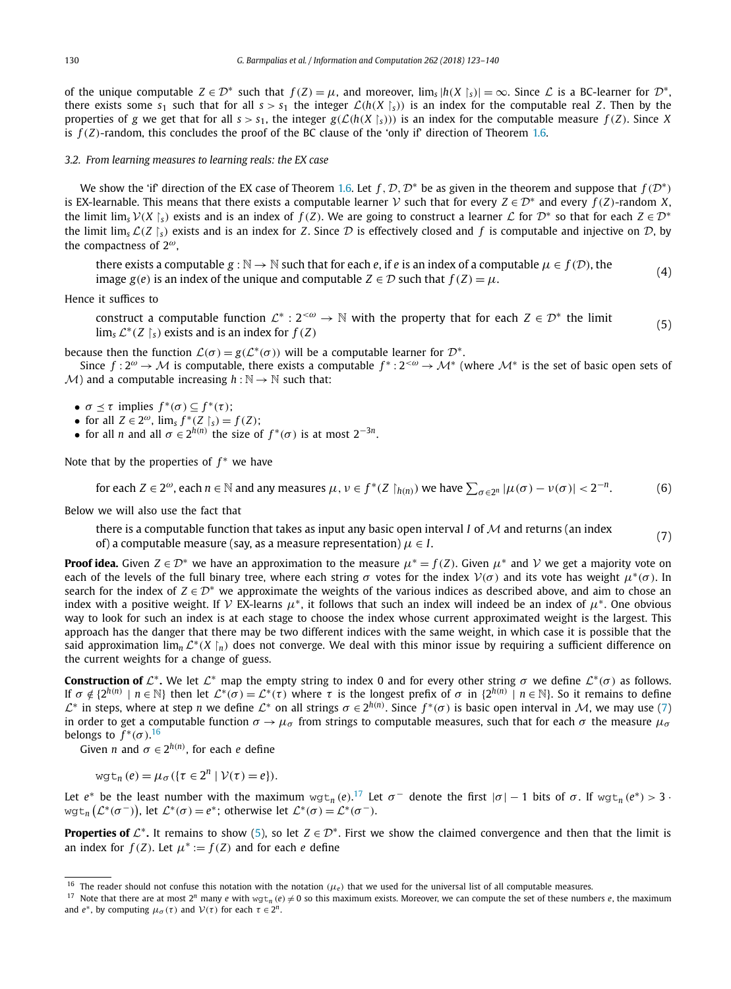<span id="page-7-0"></span>of the unique computable  $Z \in \mathcal{D}^*$  such that  $f(Z) = \mu$ , and moreover,  $\lim_s |h(X|_{s})| = \infty$ . Since  $\mathcal L$  is a BC-learner for  $\mathcal D^*$ , there exists some  $s_1$  such that for all  $s > s_1$  the integer  $\mathcal{L}(h(X \mid s))$  is an index for the computable real *Z*. Then by the properties of g we get that for all  $s > s_1$ , the integer  $g(\mathcal{L}(h(X \mid s)))$  is an index for the computable measure  $f(Z)$ . Since X is  $f(Z)$ -random, this concludes the proof of the BC clause of the 'only if' direction of Theorem [1.6](#page-2-0).

*3.2. From learning measures to learning reals: the EX case*

We show the 'if' direction of the EX case of Theorem [1.6.](#page-2-0) Let *f*,  $\mathcal{D}, \mathcal{D}^*$  be as given in the theorem and suppose that  $f(\mathcal{D}^*)$ is EX-learnable. This means that there exists a computable learner *V* such that for every  $Z \in \mathcal{D}^*$  and every  $f(Z)$ -random *X*, the limit lim<sub>s</sub>  $V(X \mid s)$  exists and is an index of  $f(Z)$ . We are going to construct a learner  $\mathcal L$  for  $\mathcal D^*$  so that for each  $Z \in \mathcal D^*$ the limit lim<sub>s</sub>  $\mathcal{L}(Z \rvert_S)$  exists and is an index for *Z*. Since  $\mathcal D$  is effectively closed and *f* is computable and injective on  $\mathcal D$ , by the compactness of 2*ω*,

there exists a computable  $g : \mathbb{N} \to \mathbb{N}$  such that for each *e*, if *e* is an index of a computable  $\mu \in f(\mathcal{D})$ , the image *g*(*e*) is an index of the unique and computable  $Z \in \mathcal{D}$  such that  $f(Z) = \mu$ . (4)

Hence it suffices to

construct a computable function  $\mathcal{L}^*$  :  $2<sup>{<\omega}</sup> \to \mathbb{N}$  with the property that for each  $Z \in \mathcal{D}^*$  the limit  $\lim_{s \to \infty} L^*(Z \mid s)$  exists and is an index for *f* (*Z*) (5)

because then the function  $\mathcal{L}(\sigma) = g(\mathcal{L}^*(\sigma))$  will be a computable learner for  $\mathcal{D}^*$ .

Since  $f: 2^{\omega} \to M$  is computable, there exists a computable  $f^*: 2^{<\omega} \to M^*$  (where  $M^*$  is the set of basic open sets of  $M$ ) and a computable increasing  $h : \mathbb{N} \to \mathbb{N}$  such that:

•  $\sigma \leq \tau$  implies  $f^*(\sigma) \subseteq f^*(\tau)$ ;

- for all  $Z \in 2^{\omega}$ ,  $\lim_{s} f^{*}(Z \upharpoonright_{s}) = f(Z)$ ;
- for all *n* and all  $\sigma \in 2^{h(n)}$  the size of  $f^*(\sigma)$  is at most  $2^{-3n}$ .

Note that by the properties of *f*<sup>∗</sup> we have

for each 
$$
Z \in 2^{\omega}
$$
, each  $n \in \mathbb{N}$  and any measures  $\mu$ ,  $\nu \in f^*(Z \restriction_{h(n)})$  we have  $\sum_{\sigma \in 2^n} |\mu(\sigma) - \nu(\sigma)| < 2^{-n}$ . (6)

Below we will also use the fact that

there is a computable function that takes as input any basic open interval *I* of  $\mathcal M$  and returns (an index

of) a computable measure (say, as a measure representation)  $\mu \in I$ . (7)  $\alpha$  final rectaring (an matrix (7) of) a computable measure (say, as a measure representation)  $\mu \in I$ .

**Proof idea.** Given  $Z \in \mathcal{D}^*$  we have an approximation to the measure  $\mu^* = f(Z)$ . Given  $\mu^*$  and  $\mathcal V$  we get a majority vote on each of the levels of the full binary tree, where each string *σ* votes for the index <sup>V</sup>*(σ)* and its vote has weight *μ*<sup>∗</sup>*(σ)*. In search for the index of  $Z \in \mathcal{D}^*$  we approximate the weights of the various indices as described above, and aim to chose an index with a positive weight. If V EX-learns  $\mu^*$ , it follows that such an index will indeed be an index of  $\mu^*$ . One obvious way to look for such an index is at each stage to choose the index whose current approximated weight is the largest. This approach has the danger that there may be two different indices with the same weight, in which case it is possible that the said approximation lim*<sup>n</sup>* <sup>L</sup>∗*(<sup>X</sup>* -*<sup>n</sup>)* does not converge. We deal with this minor issue by requiring a sufficient difference on the current weights for a change of guess.

**Construction of**  $\mathcal{L}^*$ . We let  $\mathcal{L}^*$  map the empty string to index 0 and for every other string  $\sigma$  we define  $\mathcal{L}^*(\sigma)$  as follows. If  $\sigma \notin \{2^{h(n)} \mid n \in \mathbb{N}\}\$  then let  $\mathcal{L}^*(\sigma) = \mathcal{L}^*(\tau)$  where  $\tau$  is the longest prefix of  $\sigma$  in  $\{2^{h(n)} \mid n \in \mathbb{N}\}\$ . So it remains to define  $\mathcal{L}^*$  in steps, where at step *n* we define  $\mathcal{L}^*$  on all strings  $\sigma \in 2^{h(n)}$ . Since  $f^*(\sigma)$  is basic open interval in  $\mathcal{M}$ , we may use (7) in order to get a computable function  $\sigma \to \mu_{\sigma}$  from strings to computable measures, such that for each  $\sigma$  the measure  $\mu_{\sigma}$ belongs to  $f^*(\sigma)$ .<sup>16</sup>

Given *n* and  $\sigma \in 2^{h(n)}$ , for each *e* define

 $wgt_n(e) = \mu_\sigma(\{\tau \in 2^n \mid \mathcal{V}(\tau) = e\}).$ 

Let  $e^*$  be the least number with the maximum  $wgt_n(e)$ .<sup>17</sup> Let  $\sigma^-$  denote the first  $|\sigma| - 1$  bits of  $\sigma$ . If  $wgt_n(e^*) > 3$  $wgt_n(\mathcal{L}^*(\sigma^{-}))$ , let  $\mathcal{L}^*(\sigma) = e^*$ ; otherwise let  $\mathcal{L}^*(\sigma) = \mathcal{L}^*(\sigma^{-})$ .

**Properties of**  $\mathcal{L}^*$ **.** It remains to show (5), so let  $Z \in \mathcal{D}^*$ . First we show the claimed convergence and then that the limit is an index for  $f(Z)$ . Let  $\mu^* := f(Z)$  and for each *e* define

<sup>16</sup> The reader should not confuse this notation with the notation *(μe)* that we used for the universal list of all computable measures.

<sup>&</sup>lt;sup>17</sup> Note that there are at most  $2^n$  many *e* with  $wgt_n(e) \neq 0$  so this maximum exists. Moreover, we can compute the set of these numbers *e*, the maximum and  $e^*$ , by computing  $\mu_{\sigma}(\tau)$  and  $\mathcal{V}(\tau)$  for each  $\tau \in 2^n$ .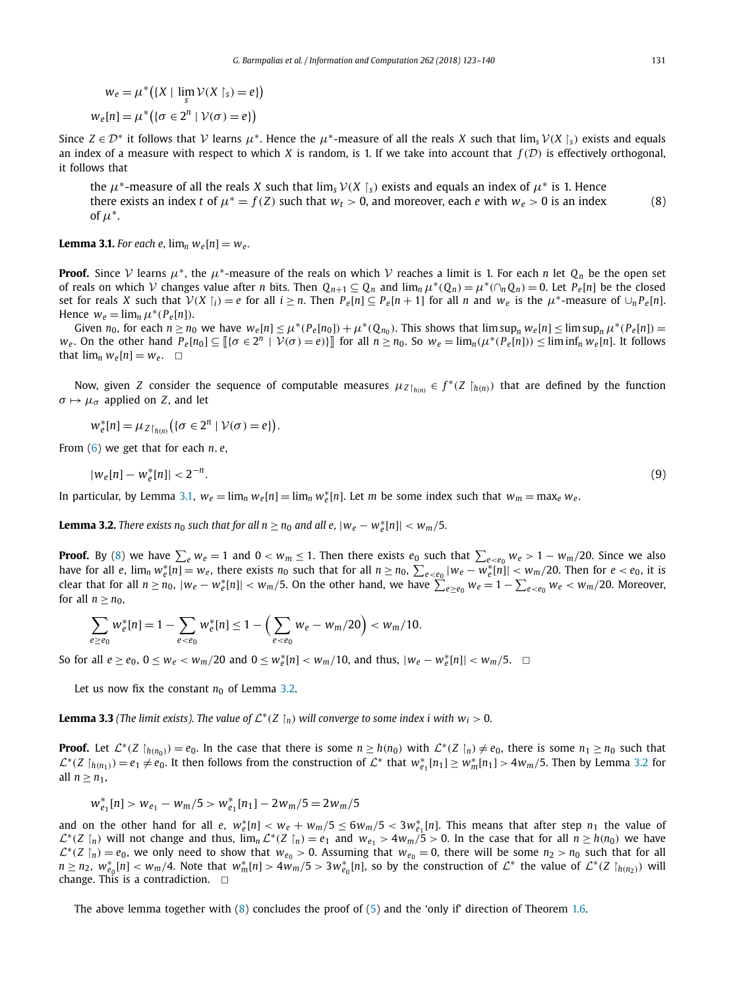<span id="page-8-0"></span>
$$
w_e = \mu^* \big( \{ X \mid \lim_{s} \mathcal{V}(X \mid s) = e \} \big)
$$
  

$$
w_e[n] = \mu^* \big( \{ \sigma \in 2^n \mid \mathcal{V}(\sigma) = e \} \big)
$$

Since  $Z \in \mathcal{D}^*$  it follows that  $V$  learns  $\mu^*$ . Hence the  $\mu^*$ -measure of all the reals *X* such that  $\lim_{s} V(X|_{s})$  exists and equals an index of a measure with respect to which *X* is random, is 1. If we take into account that  $f(D)$  is effectively orthogonal, it follows that

the  $\mu^*$ -measure of all the reals *X* such that  $\lim_s V(X \mid_s)$  exists and equals an index of  $\mu^*$  is 1. Hence there exists an index *t* of  $\mu^* = f(Z)$  such that  $w_t > 0$ , and moreover, each *e* with  $w_e > 0$  is an index of  $\mu^*$ . (8)

**Lemma 3.1.** For each *e*,  $\lim_{n} w_e[n] = w_e$ .

**Proof.** Since V learns  $\mu^*$ , the  $\mu^*$ -measure of the reals on which V reaches a limit is 1. For each *n* let  $Q_n$  be the open set of reals on which V changes value after *n* bits. Then  $Q_{n+1} \subseteq Q_n$  and  $\lim_n \mu^*(Q_n) = \mu^*(\cap_n Q_n) = 0$ . Let  $P_e[n]$  be the closed set for reals X such that  $V(X | i) = e$  for all  $i \ge n$ . Then  $P_e[n] \subseteq P_e[n+1]$  for all n and  $w_e$  is the  $\mu^*$ -measure of  $\cup_n P_e[n]$ . Hence  $w_e = \lim_n \mu^*(P_e[n])$ .

Given  $n_0$ , for each  $n \ge n_0$  we have  $w_e[n] \le \mu^*(P_e[n_0]) + \mu^*(Q_{n_0})$ . This shows that  $\limsup_n w_e[n] \le \limsup_n \mu^*(P_e[n]) =$  $w_e$ . On the other hand  $P_e[n_0] \subseteq \llbracket {\sigma \in 2^n \mid \mathcal{V}(\sigma) = e} \rrbracket$  for all  $n \ge n_0$ . So  $w_e = \lim_n (\mu^*(P_e[n])) \le \liminf_n w_e[n]$ . It follows that  $\lim_n w_e[n] = w_e$ .  $\Box$ 

Now, given *Z* consider the sequence of computable measures  $\mu_{Z|_{h(n)}} \in f^*(Z|_{h(n)})$  that are defined by the function  $\sigma \mapsto \mu_{\sigma}$  applied on *Z*, and let

$$
w_e^*[n] = \mu_{Z\restriction_{h(n)}}\big(\{\sigma \in 2^n \mid \mathcal{V}(\sigma) = e\}\big).
$$

From [\(6\)](#page-7-0) we get that for each *n, e*,

$$
|w_e[n] - w_e^*[n]| < 2^{-n}.\tag{9}
$$

In particular, by Lemma 3.1,  $w_e = \lim_n w_e[n] = \lim_n w_e^*[n]$ . Let *m* be some index such that  $w_m = \max_e w_e$ .

**Lemma 3.2.** There exists  $n_0$  such that for all  $n \ge n_0$  and all e,  $|w_e - w_e^* [n]| < w_m/5$ .

**Proof.** By (8) we have  $\sum_{e} w_e = 1$  and  $0 < w_m \le 1$ . Then there exists  $e_0$  such that  $\sum_{e < e_0} w_e > 1 - w_m/20$ . Since we also have for all e,  $\lim_n w_e^*$   $[n] = w_e$ , there exists  $n_0$  such that for all  $n \ge n_0$ ,  $\sum_{e < e_0} |w_e - w_e^*|$   $[n] | < w_m/20$ . Then for  $e < e_0$ , it is clear that for all  $n \ge n_0$ ,  $|w_e - w_e^*[n]| < w_m/5$ . On the other hand, we have  $\sum_{e \ge e_0}^{\infty} w_e = 1 - \sum_{e \le e_0} w_e < w_m/20$ . Moreover, for all  $n > n_0$ ,

$$
\sum_{e \ge e_0} w_e^*[n] = 1 - \sum_{e < e_0} w_e^*[n] \le 1 - \left(\sum_{e < e_0} w_e - w_m/20\right) < w_m/10.
$$

So for all  $e \ge e_0$ ,  $0 \le w_e < w_m/20$  and  $0 \le w_e^*[n] < w_m/10$ , and thus,  $|w_e - w_e^*[n]| < w_m/5$ .  $\Box$ 

Let us now fix the constant  $n_0$  of Lemma 3.2.

**Lemma 3.3** (The limit exists). The value of  $\mathcal{L}^*(Z \restriction_n)$  will converge to some index i with  $w_i > 0$ .

**Proof.** Let  $\mathcal{L}^*(Z \mid_{h(n_0)}) = e_0$ . In the case that there is some  $n \ge h(n_0)$  with  $\mathcal{L}^*(Z \mid_n) \ne e_0$ , there is some  $n_1 \ge n_0$  such that  $\mathcal{L}^*(Z \upharpoonright_{h(n_1)}) = e_1 \neq e_0$ . It then follows from the construction of  $\mathcal{L}^*$  that  $w_{e_1}^*[n_1] \geq w_m^*[n_1] > 4w_m/5$ . Then by Lemma 3.2 for all  $n \geq n_1$ ,

$$
w_{e_1}^*[n] > w_{e_1} - w_m/5 > w_{e_1}^*[n_1] - 2w_m/5 = 2w_m/5
$$

and on the other hand for all *e*,  $w_e^*[n] < w_e + w_m/5 \le 6w_m/5 < 3w_{e_1}^*[n]$ . This means that after step  $n_1$  the value of  $\mathcal{L}^*(Z \mid n)$  will not change and thus,  $\lim_{n} \mathcal{L}^*(Z \mid n) = e_1$  and  $w_{e_1} > 4w_m/5 > 0$ . In the case that for all  $n \ge h(n_0)$  we have  $\mathcal{L}^*(Z \mid n) = e_0$ , we only need to show that  $w_{e_0} > 0$ . Assuming that  $w_{e_0} = 0$ , there will be some  $n_2 > n_0$  such that for all  $n \ge n_2$ ,  $w_{e_0}^*[n] < w_m/4$ . Note that  $w_m^*[n] > 4w_m/5 > 3w_{e_0}^*[n]$ , so by the construction of  $\mathcal{L}^*$  the value of  $\mathcal{L}^*(Z|_{h(n_2)})$  will change. This is a contradiction.  $\Box$ 

The above lemma together with  $(8)$  concludes the proof of  $(5)$  and the 'only if' direction of Theorem [1.6.](#page-2-0)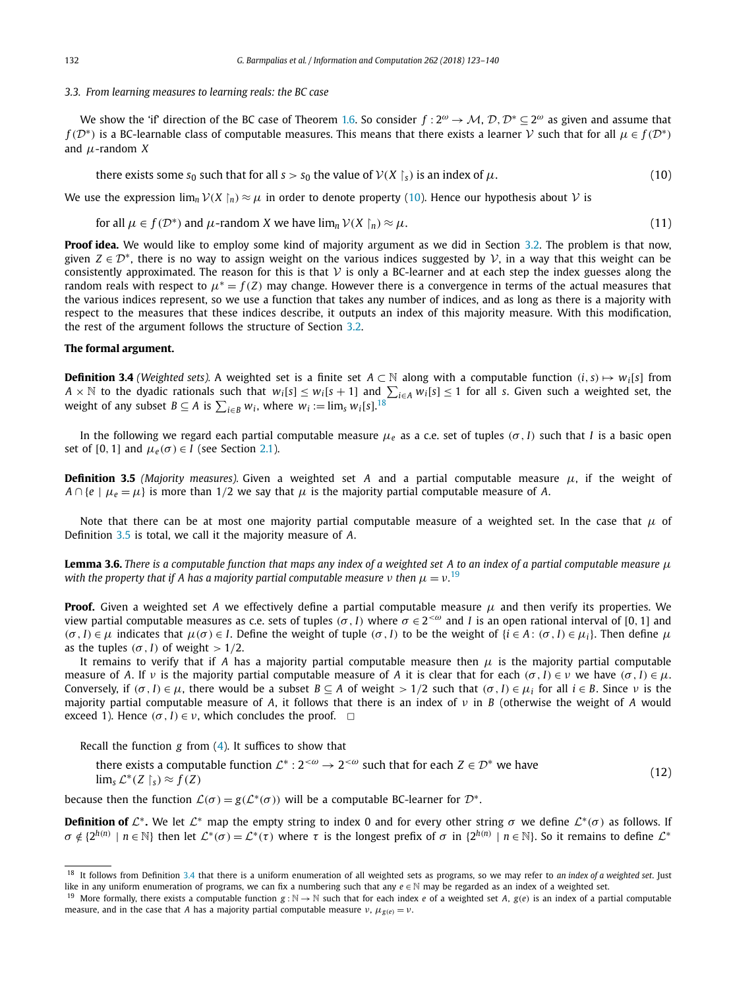#### <span id="page-9-0"></span>*3.3. From learning measures to learning reals: the BC case*

We show the 'if' direction of the BC case of Theorem [1.6.](#page-2-0) So consider *<sup>f</sup>* : <sup>2</sup>*<sup>ω</sup>* <sup>→</sup> <sup>M</sup>, <sup>D</sup>*,*D<sup>∗</sup> <sup>⊆</sup> <sup>2</sup>*<sup>ω</sup>* as given and assume that *f* ( $D^*$ ) is a BC-learnable class of computable measures. This means that there exists a learner V such that for all  $\mu \in f(D^*)$ and *μ*-random *X*

there exists some  $s_0$  such that for all  $s > s_0$  the value of  $V(X \nvert_s)$  is an index of  $\mu$ . (10)

We use the expression  $\lim_n V(X\upharpoonright_n) \approx \mu$  in order to denote property (10). Hence our hypothesis about  $V$  is

for all 
$$
\mu \in f(\mathcal{D}^*)
$$
 and  $\mu$ -random X we have  $\lim_n \mathcal{V}(X \restriction_n) \approx \mu$ . (11)

**Proof idea.** We would like to employ some kind of majority argument as we did in Section [3.2.](#page-7-0) The problem is that now, given  $Z \in \mathcal{D}^*$ , there is no way to assign weight on the various indices suggested by  $\mathcal{V}$ , in a way that this weight can be consistently approximated. The reason for this is that  $V$  is only a BC-learner and at each step the index guesses along the random reals with respect to  $\mu^* = f(Z)$  may change. However there is a convergence in terms of the actual measures that the various indices represent, so we use a function that takes any number of indices, and as long as there is a majority with respect to the measures that these indices describe, it outputs an index of this majority measure. With this modification, the rest of the argument follows the structure of Section [3.2.](#page-7-0)

### **The formal argument.**

**Definition 3.4** *(Weighted sets).* A weighted set is a finite set  $A \subset \mathbb{N}$  along with a computable function  $(i, s) \mapsto w_i[s]$  from *A* × N to the dyadic rationals such that  $w_i[s] \leq w_i[s+1]$  and  $\sum_{i \in A} w_i[s] \leq 1$  for all *s*. Given such a weighted set, the weight of any subset  $B \subseteq A$  is  $\sum_{i \in B} w_i$ , where  $w_i := \lim_s w_i[s]$ .<sup>18</sup>

In the following we regard each partial computable measure *μ<sup>e</sup>* as a c.e. set of tuples *(σ, I)* such that *I* is a basic open set of [0, 1] and  $\mu_e(\sigma) \in I$  (see Section [2.1\)](#page-4-0).

**Definition 3.5** *(Majority measures).* Given a weighted set *A* and a partial computable measure  $\mu$ , if the weight of  $A \cap \{e \mid \mu_e = \mu\}$  is more than 1/2 we say that  $\mu$  is the majority partial computable measure of *A*.

Note that there can be at most one majority partial computable measure of a weighted set. In the case that  $\mu$  of Definition 3.5 is total, we call it the majority measure of *A*.

**Lemma 3.6.** There is a computable function that maps any index of a weighted set A to an index of a partial computable measure  $\mu$ *with the property that if A has a majority partial computable measure ν then μ* = *ν.* 19

**Proof.** Given a weighted set *A* we effectively define a partial computable measure  $\mu$  and then verify its properties. We view partial computable measures as c.e. sets of tuples ( $\sigma$ , I) where  $\sigma \in 2^{< \omega}$  and I is an open rational interval of [0, 1] and  $(\sigma, I) \in \mu$  indicates that  $\mu(\sigma) \in I$ . Define the weight of tuple  $(\sigma, I)$  to be the weight of  $\{i \in A : (\sigma, I) \in \mu_i\}$ . Then define  $\mu$ as the tuples  $(\sigma, I)$  of weight  $> 1/2$ .

It remains to verify that if *A* has a majority partial computable measure then  $\mu$  is the majority partial computable measure of *A*. If *ν* is the majority partial computable measure of *A* it is clear that for each (*σ*, *I*) ∈ *ν* we have (*σ*, *I*) ∈ *μ*. Conversely, if  $(\sigma, I) \in \mu$ , there would be a subset  $B \subseteq A$  of weight  $> 1/2$  such that  $(\sigma, I) \in \mu_i$  for all  $i \in B$ . Since  $\nu$  is the majority partial computable measure of *A*, it follows that there is an index of *ν* in *B* (otherwise the weight of *A* would exceed 1). Hence  $(\sigma, I) \in \nu$ , which concludes the proof.  $\Box$ 

Recall the function *g* from [\(4\)](#page-7-0). It suffices to show that

there exists a computable function  $\mathcal{L}^*$  :  $2^{<\omega} \to 2^{<\omega}$  such that for each  $Z \in \mathcal{D}^*$  we have lim<sub>*s*</sub>  $\mathcal{L}^*(Z \upharpoonright_S) \approx f(Z)$  $s) \approx f(Z)$  (12)

because then the function  $\mathcal{L}(\sigma) = g(\mathcal{L}^*(\sigma))$  will be a computable BC-learner for  $\mathcal{D}^*$ .

**Definition of**  $\mathcal{L}^*$ . We let  $\mathcal{L}^*$  map the empty string to index 0 and for every other string  $\sigma$  we define  $\mathcal{L}^*(\sigma)$  as follows. If  $\sigma \notin \{2^{h(n)} \mid n \in \mathbb{N}\}\$  then let  $\mathcal{L}^*(\sigma) = \mathcal{L}^*(\tau)$  where  $\tau$  is the longest prefix of  $\sigma$  in  $\{2^{h(n)} \mid n \in \mathbb{N}\}\$ . So it remains to define  $\mathcal{L}^*$ 

<sup>18</sup> It follows from Definition 3.4 that there is a uniform enumeration of all weighted sets as programs, so we may refer to *an index of a weighted set*. Just like in any uniform enumeration of programs, we can fix a numbering such that any *e* ∈ N may be regarded as an index of a weighted set.

<sup>&</sup>lt;sup>19</sup> More formally, there exists a computable function  $g : \mathbb{N} \to \mathbb{N}$  such that for each index *e* of a weighted set *A*,  $g(e)$  is an index of a partial computable measure, and in the case that *A* has a majority partial computable measure  $v$ ,  $\mu_{g(e)} = v$ .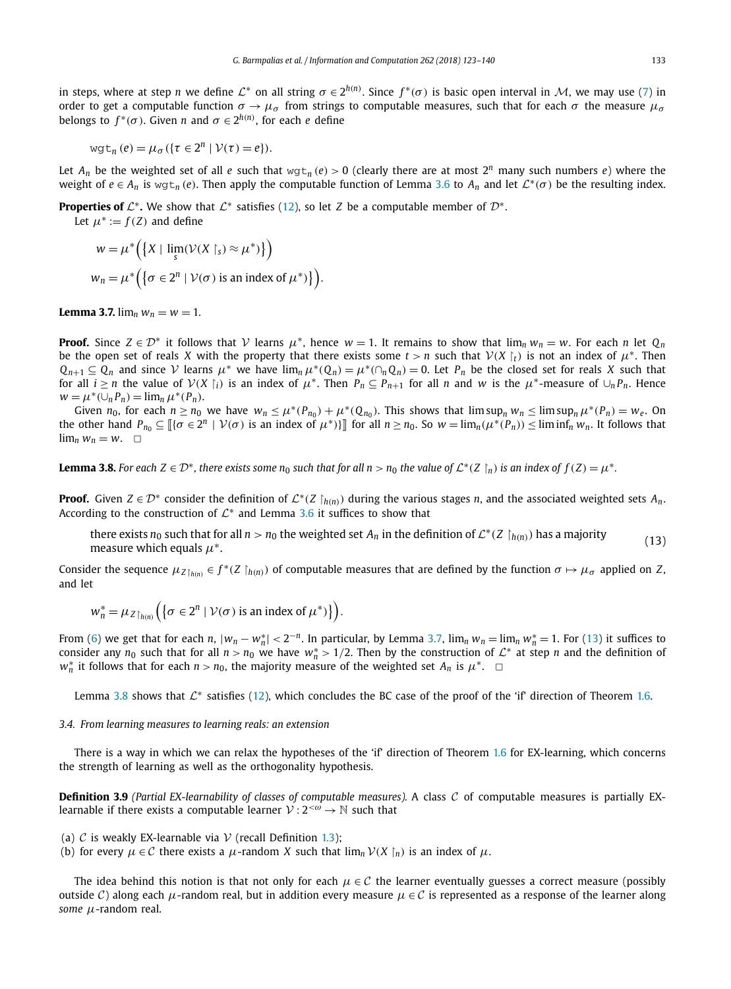<span id="page-10-0"></span>in steps, where at step *n* we define  $\mathcal{L}^*$  on all string  $\sigma \in 2^{h(n)}$ . Since  $f^*(\sigma)$  is basic open interval in M, we may use [\(7\)](#page-7-0) in order to get a computable function  $\sigma \to \mu_{\sigma}$  from strings to computable measures, such that for each  $\sigma$  the measure  $\mu_{\sigma}$ belongs to  $f^*(\sigma)$ . Given *n* and  $\sigma \in 2^{h(n)}$ , for each *e* define

$$
\text{wgt}_{n}(e) = \mu_{\sigma}(\{\tau \in 2^{n} \mid \mathcal{V}(\tau) = e\}).
$$

Let  $A_n$  be the weighted set of all *e* such that  $wgt_n(e) > 0$  (clearly there are at most  $2^n$  many such numbers *e*) where the weight of  $e \in A_n$  is wgt<sub>n</sub> (*e*). Then apply the computable function of Lemma [3.6](#page-9-0) to  $A_n$  and let  $\mathcal{L}^*(\sigma)$  be the resulting index.

**Properties of**  $\mathcal{L}^*$ **. We show that**  $\mathcal{L}^*$  **satisfies [\(12\)](#page-9-0), so let** *Z* **be a computable member of**  $\mathcal{D}^*$ **.** 

Let  $\mu^* := f(Z)$  and define

$$
w = \mu^* \Big( \big\{ X \mid \lim_{s} (\mathcal{V}(X \restriction_{s}) \approx \mu^*) \big\} \Big)
$$
  

$$
w_n = \mu^* \Big( \big\{ \sigma \in 2^n \mid \mathcal{V}(\sigma) \text{ is an index of } \mu^* \big\} \Big).
$$

**Lemma** 3.7.  $\lim_{n} w_n = w = 1$ .

**Proof.** Since  $Z \in \mathcal{D}^*$  it follows that  $\mathcal{V}$  learns  $\mu^*$ , hence  $w = 1$ . It remains to show that  $\lim_n w_n = w$ . For each *n* let  $Q_n$ be the open set of reals *X* with the property that there exists some  $t > n$  such that  $V(X|_t)$  is not an index of  $\mu^*$ . Then  $Q_{n+1} \subseteq Q_n$  and since V learns  $\mu^*$  we have  $\lim_n \mu^*(Q_n) = \mu^*(\cap_n Q_n) = 0$ . Let  $P_n$  be the closed set for reals *X* such that for all  $i \ge n$  the value of  $V(X | i)$  is an index of  $\mu^*$ . Then  $P_n \subseteq P_{n+1}$  for all *n* and *w* is the  $\mu^*$ -measure of  $\cup_n P_n$ . Hence  $w = \mu^*(\cup_n P_n) = \lim_n \mu^*(P_n).$ 

Given  $n_0$ , for each  $n \ge n_0$  we have  $w_n \le \mu^*(P_{n_0}) + \mu^*(Q_{n_0})$ . This shows that  $\limsup_n w_n \le \limsup_n \mu^*(P_n) = w_e$ . On the other hand  $P_{n_0} \subseteq [\{\sigma \in 2^n \mid \mathcal{V}(\sigma) \text{ is an index of } \mu^*\}]]$  for all  $n \ge n_0$ . So  $w = \lim_n (\mu^*(P_n)) \le \liminf_n w_n$ . It follows that  $\lim_{n} w_n = w$ .  $\Box$ 

**Lemma 3.8.** For each  $Z \in \mathcal{D}^*$ , there exists some  $n_0$  such that for all  $n > n_0$  the value of  $\mathcal{L}^*(Z \nvert_n)$  is an index of  $f(Z) = \mu^*$ .

**Proof.** Given  $Z \in \mathcal{D}^*$  consider the definition of  $\mathcal{L}^*(Z \mid h(n))$  during the various stages *n*, and the associated weighted sets  $A_n$ . According to the construction of  $\mathcal{L}^*$  and Lemma [3.6](#page-9-0) it suffices to show that

there exists *n*<sub>0</sub> such that for all *n* > *n*<sub>0</sub> the weighted set *A<sub>n</sub>* in the definition of  $\mathcal{L}^*(Z \upharpoonright_{h(n)})$  has a majority (13) measure which equals  $\mu^*$ .

Consider the sequence  $\mu_{Z\restriction_{h(n)}}\in f^*(Z\restriction_{h(n)})$  of computable measures that are defined by the function  $\sigma\mapsto\mu_\sigma$  applied on Z, and let

$$
w_n^* = \mu_Z_{\restriction_{h(n)}} \Big( \big\{ \sigma \in 2^n \mid \mathcal{V}(\sigma) \text{ is an index of } \mu^* \big) \big\} \Big).
$$

From [\(6\)](#page-7-0) we get that for each *n*,  $|w_n - w_n^*| < 2^{-n}$ . In particular, by Lemma 3.7,  $\lim_n w_n = \lim_n w_n^* = 1$ . For (13) it suffices to consider any  $n_0$  such that for all  $n > n_0$  we have  $w_n^* > 1/2$ . Then by the construction of  $\mathcal{L}^*$  at step *n* and the definition of *w*<sup>\*</sup><sub>*n*</sub> it follows that for each *n* > *n*<sub>0</sub>, the majority measure of the weighted set *A<sub>n</sub>* is  $\mu^*$ .  $\Box$ 

Lemma 3.8 shows that  $\mathcal{L}^*$  satisfies [\(12\)](#page-9-0), which concludes the BC case of the proof of the 'if' direction of Theorem [1.6](#page-2-0).

#### *3.4. From learning measures to learning reals: an extension*

There is a way in which we can relax the hypotheses of the 'if' direction of Theorem [1.6](#page-2-0) for EX-learning, which concerns the strength of learning as well as the orthogonality hypothesis.

**Definition 3.9** *(Partial EX-learnability of classes of computable measures).* A class C of computable measures is partially EXlearnable if there exists a computable learner  $V: 2<sup>{<\omega}</sup> \to \mathbb{N}$  such that

(a)  $C$  is weakly EX-learnable via  $V$  (recall Definition [1.3\)](#page-2-0);

(b) for every  $\mu \in \mathcal{C}$  there exists a  $\mu$ -random *X* such that  $\lim_{n} \mathcal{V}(X \mid_{n})$  is an index of  $\mu$ .

The idea behind this notion is that not only for each  $\mu \in C$  the learner eventually guesses a correct measure (possibly outside C) along each  $\mu$ -random real, but in addition every measure  $\mu \in C$  is represented as a response of the learner along *some μ*-random real.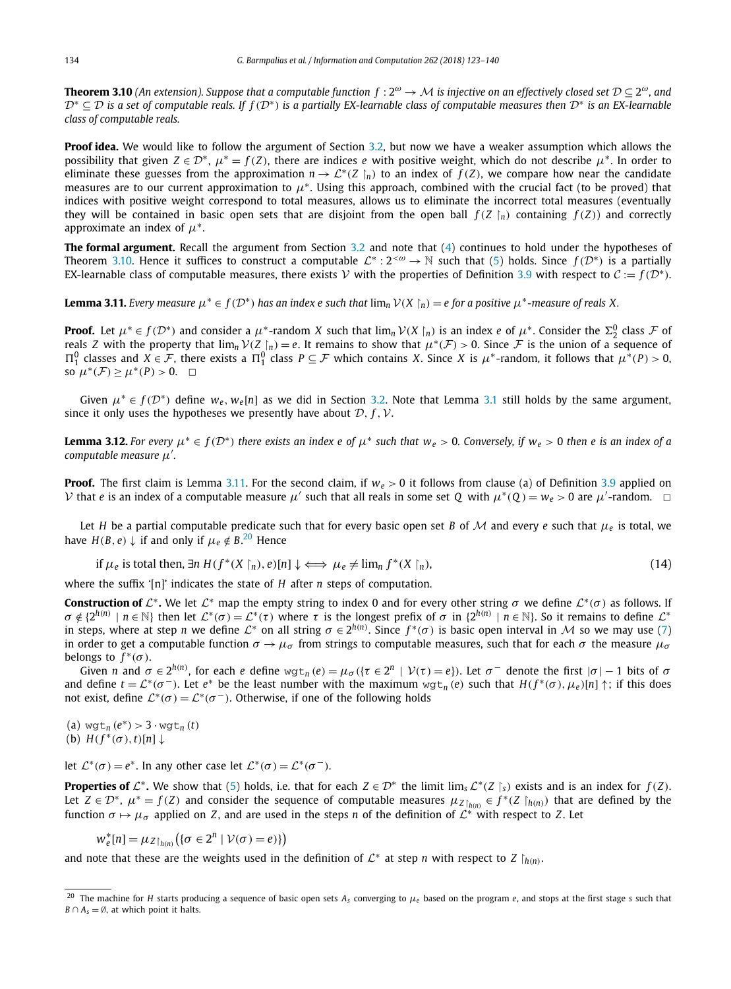<span id="page-11-0"></span>**Theorem 3.10** (An extension). Suppose that a computable function  $f: 2^{\omega} \to M$  is injective on an effectively closed set  $\mathcal{D} \subseteq 2^{\omega}$ , and  $\mathcal{D}^* \subset \mathcal{D}$  is a set of computable reals. If  $f(\mathcal{D}^*)$  is a partially EX-learnable class of computable measures then  $\mathcal{D}^*$  is an EX-learnable *class of computable reals.*

**Proof idea.** We would like to follow the argument of Section [3.2,](#page-7-0) but now we have a weaker assumption which allows the possibility that given  $Z \in \mathcal{D}^*$ ,  $\mu^* = f(Z)$ , there are indices *e* with positive weight, which do not describe  $\mu^*$ . In order to eliminate these guesses from the approximation  $n \to \mathcal{L}^*(Z \mid n)$  to an index of  $f(Z)$ , we compare how near the candidate measures are to our current approximation to *μ*<sup>∗</sup>. Using this approach, combined with the crucial fact (to be proved) that indices with positive weight correspond to total measures, allows us to eliminate the incorrect total measures (eventually they will be contained in basic open sets that are disjoint from the open ball  $f(Z|_n)$  containing  $f(Z)$ ) and correctly approximate an index of *μ*<sup>∗</sup>.

**The formal argument.** Recall the argument from Section [3.2](#page-7-0) and note that [\(4\)](#page-7-0) continues to hold under the hypotheses of Theorem 3.10. Hence it suffices to construct a computable  $\mathcal{L}^* : 2^{< \omega} \to \mathbb{N}$  such that [\(5\)](#page-7-0) holds. Since  $f(\mathcal{D}^*)$  is a partially EX-learnable class of computable measures, there exists V with the properties of Definition [3.9](#page-10-0) with respect to  $C := f(\mathcal{D}^*)$ .

**Lemma 3.11.** Every measure  $\mu^* \in f(\mathcal{D}^*)$  has an index e such that  $\lim_n \mathcal{V}(X \restriction_n) = e$  for a positive  $\mu^*$ -measure of reals X.

**Proof.** Let  $\mu^* \in f(\mathcal{D}^*)$  and consider a  $\mu^*$ -random X such that  $\lim_n \mathcal{V}(X \mid n)$  is an index e of  $\mu^*$ . Consider the  $\Sigma^0_2$  class  $\mathcal F$  of reals *Z* with the property that  $\lim_{n} V(Z \mid n) = e$ . It remains to show that  $\mu^*(\mathcal{F}) > 0$ . Since  $\mathcal{F}$  is the union of a sequence of  $\Pi_1^0$  classes and *X* ∈ *F*, there exists a  $\Pi_1^0$  class  $P \subseteq \mathcal{F}$  which contains *X*. Since *X* is  $\mu^*$ -random, it follows that  $\mu^*(P) > 0$ , so  $\mu^*(\mathcal{F}) \geq \mu^*(P) > 0$ .  $\Box$ 

Given  $\mu^* \in f(\mathcal{D}^*)$  define  $w_e$ ,  $w_e[n]$  as we did in Section [3.2.](#page-7-0) Note that Lemma [3.1](#page-8-0) still holds by the same argument, since it only uses the hypotheses we presently have about  $D$ ,  $f$ ,  $V$ .

**Lemma 3.12.** For every  $\mu^* \in f(\mathcal{D}^*)$  there exists an index e of  $\mu^*$  such that  $w_e > 0$ . Conversely, if  $w_e > 0$  then e is an index of a *computable measure μ .*

**Proof.** The first claim is Lemma 3.11. For the second claim, if  $w_e > 0$  it follows from clause (a) of Definition [3.9](#page-10-0) applied on V that *e* is an index of a computable measure  $\mu'$  such that all reals in some set Q with  $\mu^*(Q) = w_e > 0$  are  $\mu'$ -random.  $\Box$ 

Let *H* be a partial computable predicate such that for every basic open set *B* of *M* and every *e* such that  $\mu_e$  is total, we have  $H(B, e) \downarrow$  if and only if  $\mu_e \notin B$ .<sup>20</sup> Hence

if 
$$
\mu_e
$$
 is total then,  $\exists n \ H(f^*(X \restriction_n), e)[n] \downarrow \iff \mu_e \neq \lim_n f^*(X \restriction_n)$ , (14)

where the suffix '[n]' indicates the state of *H* after *n* steps of computation.

**Construction of**  $\mathcal{L}^*$ . We let  $\mathcal{L}^*$  map the empty string to index 0 and for every other string  $\sigma$  we define  $\mathcal{L}^*(\sigma)$  as follows. If  $\sigma \notin \{2^{h(n)} \mid n \in \mathbb{N}\}\$  then let  $\mathcal{L}^*(\sigma) = \mathcal{L}^*(\tau)$  where  $\tau$  is the longest prefix of  $\sigma$  in  $\{2^{h(n)} \mid n \in \mathbb{N}\}\$ . So it remains to define  $\mathcal{L}^*$ in steps, where at step *n* we define  $\mathcal{L}^*$  on all string  $\sigma \in 2^{h(n)}$ . Since  $f^*(\sigma)$  is basic open interval in M so we may use [\(7\)](#page-7-0) in order to get a computable function  $\sigma \to \mu_\sigma$  from strings to computable measures, such that for each  $\sigma$  the measure  $\mu_\sigma$ belongs to  $f^*(\sigma)$ .

Given *n* and  $\sigma \in 2^{h(n)}$ , for each *e* define  $wgt_n(e) = \mu_\sigma(\{\tau \in 2^n \mid \mathcal{V}(\tau) = e\})$ . Let  $\sigma^-$  denote the first  $|\sigma| - 1$  bits of  $\sigma$ and define  $t = \mathcal{L}^*(\sigma^-)$ . Let  $e^*$  be the least number with the maximum  $wgt_n(e)$  such that  $H(f^*(\sigma), \mu_e)[n] \uparrow$ ; if this does not exist, define  $\mathcal{L}^*(\sigma) = \mathcal{L}^*(\sigma^-)$ . Otherwise, if one of the following holds

 $(d)$  wgt<sub>n</sub>  $(e^*) > 3 \cdot \text{wgt}_n(t)$  $(H(f^*(\sigma), t)[n])$ 

let  $\mathcal{L}^*(\sigma) = e^*$ . In any other case let  $\mathcal{L}^*(\sigma) = \mathcal{L}^*(\sigma^{-})$ .

**Properties of**  $\mathcal{L}^*$ . We show that [\(5\)](#page-7-0) holds, i.e. that for each  $Z \in \mathcal{D}^*$  the limit lim<sub>*s*</sub>  $\mathcal{L}^*(Z \mid_S)$  exists and is an index for  $f(Z)$ . Let  $Z \in \mathcal{D}^*$ ,  $\mu^* = f(Z)$  and consider the sequence of computable measures  $\mu_{Z \mid h(n)} \in f^*(Z \mid_{h(n)})$  that are defined by the function  $\sigma \mapsto \mu_{\sigma}$  applied on *Z*, and are used in the steps *n* of the definition of  $\mathcal{L}^*$  with respect to *Z*. Let

$$
w_e^*[n] = \mu_{Z\restriction_{h(n)}}\big(\{\sigma \in 2^n \mid \mathcal{V}(\sigma) = e)\}\big)
$$

and note that these are the weights used in the definition of  $\mathcal{L}^*$  at step *n* with respect to *Z*  $\hat{h}(n)$ .

<sup>20</sup> The machine for *H* starts producing a sequence of basic open sets *As* converging to *μ<sup>e</sup>* based on the program *e*, and stops at the first stage *s* such that  $B \cap A_s = \emptyset$ , at which point it halts.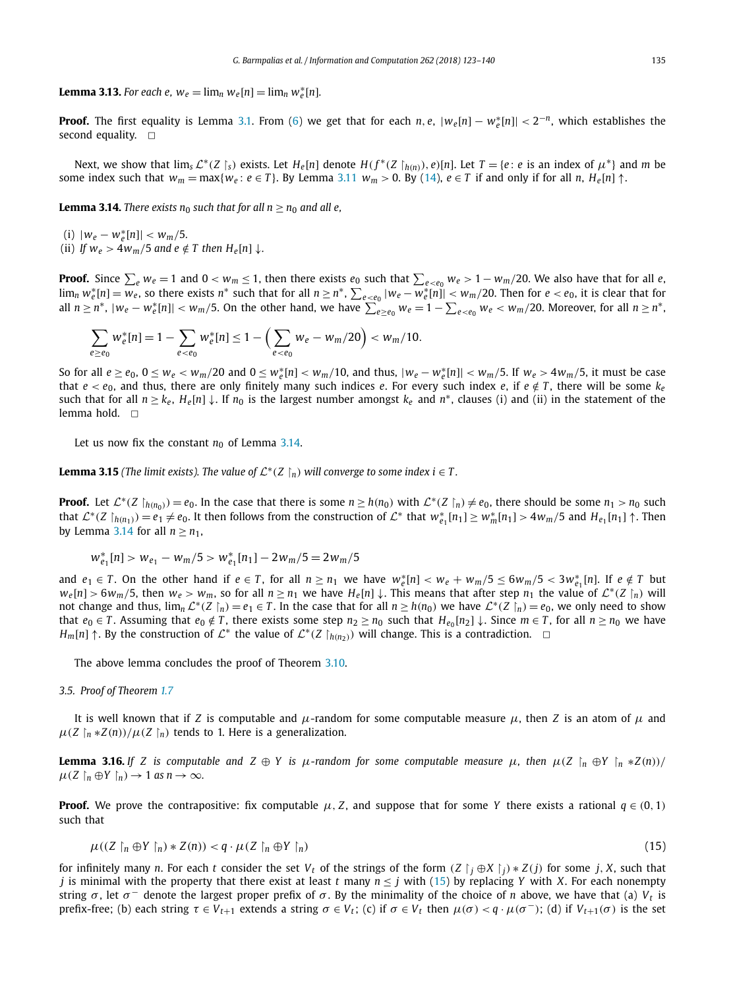<span id="page-12-0"></span>**Lemma 3.13.** For each  $e$ ,  $w_e = \lim_n w_e[n] = \lim_n w_e^*[n]$ .

**Proof.** The first equality is Lemma [3.1.](#page-8-0) From [\(6\)](#page-7-0) we get that for each *<sup>n</sup>, <sup>e</sup>*, |*we*[*n*] − *<sup>w</sup>*<sup>∗</sup> *<sup>e</sup>* [*n*]| *<* <sup>2</sup>−*n*, which establishes the second equality.  $\square$ 

Next, we show that  $\lim_{s} \mathcal{L}^*(Z | s)$  exists. Let  $H_e[n]$  denote  $H(f^*(Z | h(n)), e)[n]$ . Let  $T = \{e : e \text{ is an index of } \mu^*\}$  and m be some index such that  $w_m = \max\{w_e : e \in T\}$ . By Lemma [3.11](#page-11-0)  $w_m > 0$ . By [\(14\)](#page-11-0),  $e \in T$  if and only if for all *n*,  $H_e[n] \uparrow$ .

**Lemma 3.14.** *There exists*  $n_0$  *such that for all*  $n \geq n_0$  *and all e*,

 $(i)$   $|w_e - w_e^*[n]| < w_m/5$ .

(ii) *If*  $w_e > 4w_m/5$  *and*  $e \notin T$  *then*  $H_e[n] \downarrow$ .

**Proof.** Since  $\sum_e w_e = 1$  and  $0 < w_m \le 1$ , then there exists  $e_0$  such that  $\sum_{e < e_0} w_e > 1 - w_m/20$ . We also have that for all *e*,  $\lim_n w_e^*[n] = \overline{w_e}$ , so there exists  $n^*$  such that for all  $n \ge n^*$ ,  $\sum_{e < e_0} |w_e - \overline{w_e^*}[n]| < w_m/20$ . Then for  $e < e_0$ , it is clear that for all  $n \ge n^*$ ,  $|w_e - w_e^*[n]| < w_m/5$ . On the other hand, we have  $\sum_{e \ge e_0}^{\infty} w_e = 1 - \sum_{e \le e_0} w_e < w_m/20$ . Moreover, for all  $n \ge n^*$ ,

$$
\sum_{e \ge e_0} w_e^*[n] = 1 - \sum_{e < e_0} w_e^*[n] \le 1 - \left(\sum_{e < e_0} w_e - w_m/20\right) < w_m/10.
$$

So for all  $e \ge e_0$ ,  $0 \le w_e < w_m/20$  and  $0 \le w_e^*[n] < w_m/10$ , and thus,  $|w_e - w_e^*[n]| < w_m/5$ . If  $w_e > 4w_m/5$ , it must be case that  $e < e_0$ , and thus, there are only finitely many such indices *e*. For every such index *e*, if  $e \notin T$ , there will be some  $k_e$ such that for all  $n \ge k_e$ ,  $H_e[n] \downarrow$ . If  $n_0$  is the largest number amongst  $k_e$  and  $n^*$ , clauses (i) and (ii) in the statement of the lemma hold.  $\square$ 

Let us now fix the constant  $n_0$  of Lemma 3.14.

**Lemma 3.15** (The limit exists). The value of  $\mathcal{L}^*(Z \restriction_n)$  will converge to some index  $i \in T$ .

**Proof.** Let  $\mathcal{L}^*(Z \upharpoonright_{h(n_0)}) = e_0$ . In the case that there is some  $n \geq h(n_0)$  with  $\mathcal{L}^*(Z \upharpoonright_n) \neq e_0$ , there should be some  $n_1 > n_0$  such that  $\mathcal{L}^*(Z \upharpoonright_{h(n_1)}) = e_1 \neq e_0$ . It then follows from the construction of  $\mathcal{L}^*$  that  $w_{e_1}^*[n_1] \geq w_m^*[n_1] > 4w_m/5$  and  $H_{e_1}[n_1] \uparrow$ . Then by Lemma 3.14 for all  $n \geq n_1$ ,

$$
w_{e_1}^*[n] > w_{e_1} - w_m/5 > w_{e_1}^*[n_1] - 2w_m/5 = 2w_m/5
$$

and  $e_1 \in T$ . On the other hand if  $e \in T$ , for all  $n \ge n_1$  we have  $w_e^*[n] < w_e + w_m/5 \le 6w_m/5 < 3w_{e_1}^*[n]$ . If  $e \notin T$  but  $w_e[n] > 6w_m/5$ , then  $w_e > w_m$ , so for all  $n \ge n_1$  we have  $H_e[n] \downarrow$ . This means that after step  $n_1$  the value of  $\mathcal{L}^*(Z \mid n)$  will not change and thus,  $\lim_{n} \mathcal{L}^*(Z \mid_n) = e_1 \in T$ . In the case that for all  $n \ge h(n_0)$  we have  $\mathcal{L}^*(Z \mid_n) = e_0$ , we only need to show that  $e_0 \in T$ . Assuming that  $e_0 \notin T$ , there exists some step  $n_2 \ge n_0$  such that  $H_{e_0}[n_2] \downarrow$ . Since  $m \in T$ , for all  $n \ge n_0$  we have *H<sub>m</sub>*[*n*] ↑. By the construction of  $\mathcal{L}^*$  the value of  $\mathcal{L}^*(Z \restriction_{h(n_2)})$  will change. This is a contradiction.  $\Box$ 

The above lemma concludes the proof of Theorem [3.10.](#page-11-0)

#### *3.5. Proof of Theorem [1.7](#page-3-0)*

It is well known that if *Z* is computable and  $\mu$ -random for some computable measure  $\mu$ , then *Z* is an atom of  $\mu$  and  $\mu$ (*Z*  $\int_{n}^{h}$  \**Z*(*n*))/ $\mu$ (*Z*  $\int_{n}^{h}$ ) tends to 1. Here is a generalization.

**Lemma 3.16.** If Z is computable and  $Z \oplus Y$  is  $\mu$ -random for some computable measure  $\mu$ , then  $\mu(Z \upharpoonright_n \oplus Y \upharpoonright_n * Z(n))/$  $\mu$ (*Z*  $\upharpoonright_n \oplus Y \upharpoonright_n$ )  $\to$  1 *as*  $n \to \infty$ .

**Proof.** We prove the contrapositive: fix computable  $\mu$ , *Z*, and suppose that for some *Y* there exists a rational  $q \in (0,1)$ such that

$$
\mu((Z \restriction_n \oplus Y \restriction_n) * Z(n)) < q \cdot \mu(Z \restriction_n \oplus Y \restriction_n) \tag{15}
$$

for infinitely many n. For each t consider the set  $V_t$  of the strings of the form  $(Z\restriction_j\oplus X\restriction_j)*Z(j)$  for some j, X, such that *j* is minimal with the property that there exist at least *t* many  $n \leq j$  with (15) by replacing *Y* with *X*. For each nonempty string *σ*, let  $σ$  denote the largest proper prefix of *σ*. By the minimality of the choice of *n* above, we have that (a)  $V_t$  is prefix-free; (b) each string *τ* ∈ *Vt*+<sup>1</sup> extends <sup>a</sup> string *σ* ∈ *Vt*; (c) if *σ* ∈ *Vt* then *μ(σ) < <sup>q</sup>* · *μ(σ* <sup>−</sup>*)*; (d) if *Vt*+1*(σ)* is the set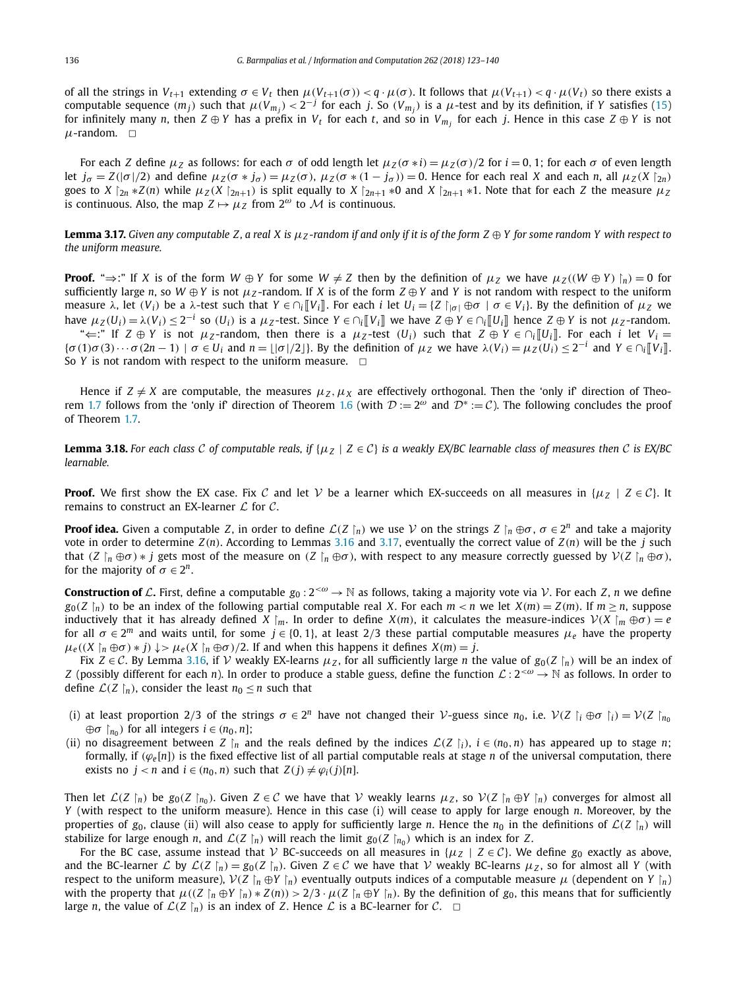of all the strings in  $V_{t+1}$  extending  $\sigma \in V_t$  then  $\mu(V_{t+1}(\sigma)) < q \cdot \mu(\sigma)$ . It follows that  $\mu(V_{t+1}) < q \cdot \mu(V_t)$  so there exists a computable sequence  $(m_j)$  such that  $\mu(V_{m_j}) < 2^{-j}$  for each j. So  $(V_{m_j})$  is a  $\mu$ -test and by its definition, if Y satisfies [\(15\)](#page-12-0) for infinitely many *n*, then  $Z \oplus Y$  has a prefix in  $V_t$  for each *t*, and so in  $V_{m_i}$  for each *j*. Hence in this case  $Z \oplus Y$  is not  $\mu$ -random.  $\Box$ 

For each Z define  $\mu_Z$  as follows: for each  $\sigma$  of odd length let  $\mu_Z(\sigma * i) = \mu_Z(\sigma)/2$  for  $i = 0, 1$ ; for each  $\sigma$  of even length let  $j_{\sigma} = Z(|\sigma|/2)$  and define  $\mu_Z(\sigma * j_{\sigma}) = \mu_Z(\sigma)$ ,  $\mu_Z(\sigma * (1 - j_{\sigma})) = 0$ . Hence for each real X and each n, all  $\mu_Z(X | z_n)$ goes to X  $\gamma_{2n}$  \*Z(n) while  $\mu_Z(X \gamma_{2n+1})$  is split equally to X  $\gamma_{2n+1}$  \*0 and X  $\gamma_{2n+1}$  \*1. Note that for each Z the measure  $\mu_Z$ is continuous. Also, the map  $Z \mapsto \mu_Z$  from  $2^\omega$  to M is continuous.

**Lemma 3.17.** Given any computable Z, a real X is  $\mu$ z-random if and only if it is of the form  $Z \oplus Y$  for some random Y with respect to *the uniform measure.*

**Proof.** " $\Rightarrow$ :" If X is of the form  $W \oplus Y$  for some  $W \neq Z$  then by the definition of  $\mu_Z$  we have  $\mu_Z((W \oplus Y) \upharpoonright_n) = 0$  for sufficiently large *n*, so  $W \oplus Y$  is not  $\mu_Z$ -random. If *X* is of the form  $Z \oplus Y$  and *Y* is not random with respect to the uniform measure  $\lambda$ , let  $(V_i)$  be a  $\lambda$ -test such that  $Y \in \cap_i [V_i]$ . For each i let  $U_i = \{Z \mid_{|\sigma|} \oplus \sigma \mid \sigma \in V_i\}$ . By the definition of  $\mu_Z$  we have  $\mu_Z(U_i) = \lambda(V_i) \le 2^{-i}$  so  $(U_i)$  is a  $\mu_Z$ -test. Since  $Y \in \cap_i [V_i]$  we have  $Z \oplus Y \in \cap_i [U_i]$  hence  $Z \oplus Y$  is not  $\mu_Z$ -random.  $\div \leftarrow$ :" If *Z* ⊕ *Y* is not *μ*<sub>*Z*</sub>-random, then there is a *μ*<sub>*Z*</sub>-test (*U<sub>i</sub>*) such that *Z* ⊕ *Y* ∈ ∩<sub>*i*</sub> $\|U_i\|$ . For each *i* let *V<sub>i</sub>* =

 $\{\sigma(1)\sigma(3)\cdots\sigma(2n-1)\mid \sigma\in U_i\}$  and  $n=\lfloor |\sigma|/2\rfloor\}$ . By the definition of  $\mu_Z$  we have  $\lambda(V_i)=\mu_Z(U_i)\leq 2^{-i}$  and  $Y\in \bigcap_i [V_i]$ . So *Y* is not random with respect to the uniform measure.  $\Box$ 

Hence if  $Z \neq X$  are computable, the measures  $\mu_Z, \mu_X$  are effectively orthogonal. Then the 'only if' direction of Theo-rem [1.7](#page-3-0) follows from the 'only if' direction of Theorem [1.6](#page-2-0) (with  $\mathcal{D} := 2^{\omega}$  and  $\mathcal{D}^* := \mathcal{C}$ ). The following concludes the proof of Theorem [1.7.](#page-3-0)

**Lemma 3.18.** For each class C of computable reals, if  $\{\mu_Z \mid Z \in C\}$  is a weakly EX/BC learnable class of measures then C is EX/BC *learnable.*

**Proof.** We first show the EX case. Fix C and let V be a learner which EX-succeeds on all measures in  $\{\mu_Z \mid Z \in C\}$ . It remains to construct an EX-learner  $\mathcal L$  for  $\mathcal C$ .

**Proof idea.** Given a computable *Z*, in order to define  $\mathcal{L}(Z \mid n)$  we use  $V$  on the strings  $Z \mid n \oplus \sigma$ ,  $\sigma \in 2^n$  and take a majority vote in order to determine *Z(n)*. According to Lemmas [3.16](#page-12-0) and 3.17, eventually the correct value of *Z(n)* will be the *j* such that  $(Z \nvert_n \oplus \sigma) * j$  gets most of the measure on  $(Z \nvert_n \oplus \sigma)$ , with respect to any measure correctly guessed by  $V(Z \nvert_n \oplus \sigma)$ , for the majority of  $\sigma \in 2^n$ .

**Construction of** L. First, define a computable  $g_0: 2^{<\omega} \to \mathbb{N}$  as follows, taking a majority vote via V. For each Z, *n* we define  $g_0(Z \rvert_n)$  to be an index of the following partial computable real X. For each  $m < n$  we let  $X(m) = Z(m)$ . If  $m \ge n$ , suppose inductively that it has already defined *X*  $\vert m$ . In order to define *X*(*m*), it calculates the measure-indices  $V(X | m \oplus \sigma) = e$ for all  $\sigma \in 2^m$  and waits until, for some  $j \in \{0, 1\}$ , at least 2/3 these partial computable measures  $\mu_e$  have the property  $\mu_e((X \mid n \oplus \sigma) * j) \downarrow > \mu_e(X \mid n \oplus \sigma)/2$ . If and when this happens it defines  $X(m) = j$ .

Fix  $Z \in \mathcal{C}$ . By Lemma [3.16,](#page-12-0) if  $V$  weakly EX-learns  $\mu_Z$ , for all sufficiently large *n* the value of  $g_0(Z \mid n)$  will be an index of *Z* (possibly different for each *n*). In order to produce a stable guess, define the function  $\mathcal{L}: 2^{&\omega} \to \mathbb{N}$  as follows. In order to define  $\mathcal{L}(Z \mid_n)$ , consider the least  $n_0 \leq n$  such that

- (i) at least proportion 2/3 of the strings  $\sigma \in 2^n$  have not changed their V-guess since  $n_0$ , i.e.  $V(Z \mid_i \oplus \sigma \mid_i) = V(Z \mid n_0)$  $\oplus \sigma$   $\upharpoonright_{n_0}$ ) for all integers  $i \in (n_0, n]$ ;
- (ii) no disagreement between *Z*  $\vert n \vert$  and the reals defined by the indices  $\mathcal{L}(Z \vert i)$ ,  $i \in (n_0, n)$  has appeared up to stage *n*; formally, if  $(\varphi_e[n])$  is the fixed effective list of all partial computable reals at stage *n* of the universal computation, there exists no  $j < n$  and  $i \in (n_0, n)$  such that  $Z(j) \neq \varphi_i(j)[n]$ .

Then let  $\mathcal{L}(Z \mid n)$  be  $g_0(Z \mid n_0)$ . Given  $Z \in \mathcal{C}$  we have that  $\mathcal V$  weakly learns  $\mu_Z$ , so  $\mathcal V(Z \mid n \oplus Y \mid n)$  converges for almost all *Y* (with respect to the uniform measure). Hence in this case (i) will cease to apply for large enough *n*. Moreover, by the properties of  $g_0$ , clause (ii) will also cease to apply for sufficiently large *n*. Hence the  $n_0$  in the definitions of  $\mathcal{L}(Z \mid n)$  will stabilize for large enough *n*, and  $\mathcal{L}(Z \restriction n)$  will reach the limit  $g_0(Z \restriction n_0)$  which is an index for *Z*.

For the BC case, assume instead that V BC-succeeds on all measures in  $\{ \mu_Z \mid Z \in C \}$ . We define  $g_0$  exactly as above, and the BC-learner  $\mathcal L$  by  $\mathcal L(Z \mid_n) = g_0(Z \mid_n)$ . Given  $Z \in \mathcal C$  we have that  $\mathcal V$  weakly BC-learns  $\mu_Z$ , so for almost all *Y* (with respect to the uniform measure),  $V(Z \mid_n \oplus Y \mid_n)$  eventually outputs indices of a computable measure  $\mu$  (dependent on *Y*  $\mid_n$ ) with the property that  $\mu((Z \upharpoonright_n \oplus Y \upharpoonright_n) * Z(n)) > 2/3 \cdot \mu(Z \upharpoonright_n \oplus Y \upharpoonright_n)$ . By the definition of  $g_0$ , this means that for sufficiently large *n*, the value of  $\mathcal{L}(Z \restriction_n)$  is an index of Z. Hence  $\mathcal L$  is a BC-learner for  $\mathcal C$ .  $\Box$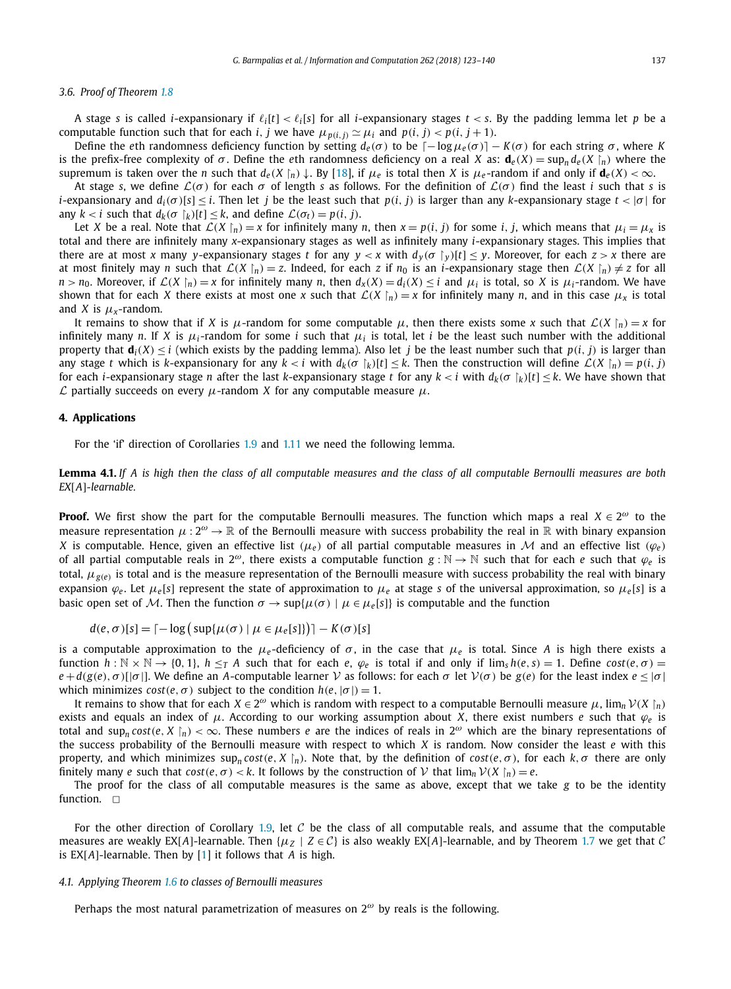## <span id="page-14-0"></span>*3.6. Proof of Theorem [1.8](#page-3-0)*

A stage *s* is called *i*-expansionary if  $\ell_i[t] < \ell_i[s]$  for all *i*-expansionary stages  $t < s$ . By the padding lemma let *p* be a computable function such that for each *i*, *j* we have  $\mu_{p(i, i)} \simeq \mu_i$  and  $p(i, j) < p(i, j + 1)$ .

Define the *e*th randomness deficiency function by setting  $d_e(\sigma)$  to be  $[-\log \mu_e(\sigma)] - K(\sigma)$  for each string  $\sigma$ , where *K* is the prefix-free complexity of  $\sigma$ . Define the eth randomness deficiency on a real *X* as:  $\mathbf{d}_e(X) = \sup_n d_e(X \restriction_n)$  where the supremum is taken over the  $n$  such that  $d_e(X\restriction_n)\downarrow$ . By [\[18\]](#page-16-0), if  $\mu_e$  is total then X is  $\mu_e$ -random if and only if  $\bm{d}_e(X)<\infty$ .

At stage *s*, we define  $\mathcal{L}(\sigma)$  for each  $\sigma$  of length *s* as follows. For the definition of  $\mathcal{L}(\sigma)$  find the least *i* such that *s* is *i*-expansionary and  $d_i(\sigma)[s] < i$ . Then let *j* be the least such that  $p(i, j)$  is larger than any k-expansionary stage  $t < |\sigma|$  for any  $k < i$  such that  $d_k(\sigma |_k)[t] \leq k$ , and define  $\mathcal{L}(\sigma_t) = p(i, j)$ .

Let X be a real. Note that  $\mathcal{L}(X \mid_n) = x$  for infinitely many n, then  $x = p(i, j)$  for some i, j, which means that  $\mu_i = \mu_x$  is total and there are infinitely many *x*-expansionary stages as well as infinitely many *i*-expansionary stages. This implies that there are at most x many y-expansionary stages t for any  $y < x$  with  $d_y(\sigma|_y)[t] \leq y$ . Moreover, for each  $z > x$  there are at most finitely may *n* such that  $\mathcal{L}(X \mid n) = z$ . Indeed, for each *z* if  $n_0$  is an *i*-expansionary stage then  $\mathcal{L}(X \mid n) \neq z$  for all  $n > n_0$ . Moreover, if  $\mathcal{L}(X \mid n) = x$  for infinitely many n, then  $d_X(X) = d_i(X) \leq i$  and  $\mu_i$  is total, so X is  $\mu_i$ -random. We have shown that for each *X* there exists at most one *x* such that  $\mathcal{L}(X \mid_n) = x$  for infinitely many *n*, and in this case  $\mu_X$  is total and *X* is  $\mu_x$ -random.

It remains to show that if *X* is *μ*-random for some computable *μ*, then there exists some *x* such that  $\mathcal{L}(X \mid_n) = x$  for infinitely many *n*. If *X* is  $\mu_i$ -random for some *i* such that  $\mu_i$  is total, let *i* be the least such number with the additional property that  $\mathbf{d}_i(X) \leq i$  (which exists by the padding lemma). Also let *j* be the least number such that  $p(i, j)$  is larger than any stage t which is k-expansionary for any  $k < i$  with  $d_k(\sigma |_k)[t] \leq k$ . Then the construction will define  $\mathcal{L}(X |_n) = p(i, j)$ for each *i*-expansionary stage  $n$  after the last  $k$ -expansionary stage  $t$  for any  $k < i$  with  $d_k(\sigma\restriction_k)[t]\leq k.$  We have shown that L partially succeeds on every *μ*-random *<sup>X</sup>* for any computable measure *μ*.

#### **4. Applications**

For the 'if' direction of Corollaries [1.9](#page-3-0) and [1.11](#page-3-0) we need the following lemma.

**Lemma 4.1.** If A is high then the class of all computable measures and the class of all computable Bernoulli measures are both *EX*[*A*]*-learnable.*

**Proof.** We first show the part for the computable Bernoulli measures. The function which maps a real  $X \in 2^{\omega}$  to the measure representation  $\mu : 2^{\omega} \to \mathbb{R}$  of the Bernoulli measure with success probability the real in  $\mathbb{R}$  with binary expansion *X* is computable. Hence, given an effective list  $(\mu_e)$  of all partial computable measures in M and an effective list  $(\varphi_e)$ of all partial computable reals in  $2^\omega$ , there exists a computable function  $g : \mathbb{N} \to \mathbb{N}$  such that for each *e* such that  $\varphi_e$  is total,  $\mu_{g(e)}$  is total and is the measure representation of the Bernoulli measure with success probability the real with binary expansion  $φ_e$ . Let  $μ_e[s]$  represent the state of approximation to  $μ_e$  at stage *s* of the universal approximation, so  $μ_e[s]$  is a basic open set of M. Then the function  $\sigma \to \sup\{\mu(\sigma) \mid \mu \in \mu_{\epsilon}[s]\}\$  is computable and the function

$$
d(e, \sigma)[s] = \lceil -\log \left( \sup \{ \mu(\sigma) \mid \mu \in \mu_e[s] \} \right) \rceil - K(\sigma)[s]
$$

is a computable approximation to the  $\mu_e$ -deficiency of  $\sigma$ , in the case that  $\mu_e$  is total. Since A is high there exists a function  $h: \mathbb{N} \times \mathbb{N} \to \{0, 1\}$ ,  $h \leq T A$  such that for each e,  $\varphi_e$  is total if and only if  $\lim_{s \to \infty} h(e, s) = 1$ . Define cost $(e, \sigma) =$  $e + d(g(e), \sigma)[\sigma]]$ . We define an A-computable learner V as follows: for each  $\sigma$  let  $V(\sigma)$  be  $g(e)$  for the least index  $e < |\sigma|$ which minimizes  $cost(e, \sigma)$  subject to the condition  $h(e, |\sigma|) = 1$ .

It remains to show that for each  $X \in 2^{\omega}$  which is random with respect to a computable Bernoulli measure  $\mu$ ,  $\lim_{n} \mathcal{V}(X \mid n)$ exists and equals an index of  $\mu$ . According to our working assumption about *X*, there exist numbers *e* such that  $\varphi$ <sub>*e*</sub> is total and  $sup_n cost(e, X \mid_n) < \infty$ . These numbers *e* are the indices of reals in  $2^{\omega}$  which are the binary representations of the success probability of the Bernoulli measure with respect to which *X* is random. Now consider the least *e* with this property, and which minimizes  $sup_n cost(e, X \nmid n)$ . Note that, by the definition of  $cost(e, \sigma)$ , for each  $k, \sigma$  there are only finitely many *e* such that  $cost(e, \sigma) < k$ . It follows by the construction of  $V$  that  $\lim_{n} V(X \mid n) = e$ .

The proof for the class of all computable measures is the same as above, except that we take *g* to be the identity function.  $\Box$ 

For the other direction of Corollary [1.9,](#page-3-0) let  $C$  be the class of all computable reals, and assume that the computable measures are weakly EX[*A*]-learnable. Then {*μ<sup>Z</sup>* | *<sup>Z</sup>* ∈ C} is also weakly EX[*A*]-learnable, and by Theorem [1.7](#page-3-0) we get that C is EX[*A*]-learnable. Then by [\[1\]](#page-16-0) it follows that *A* is high.

#### *4.1. Applying Theorem [1.6](#page-2-0) to classes of Bernoulli measures*

Perhaps the most natural parametrization of measures on 2*<sup>ω</sup>* by reals is the following.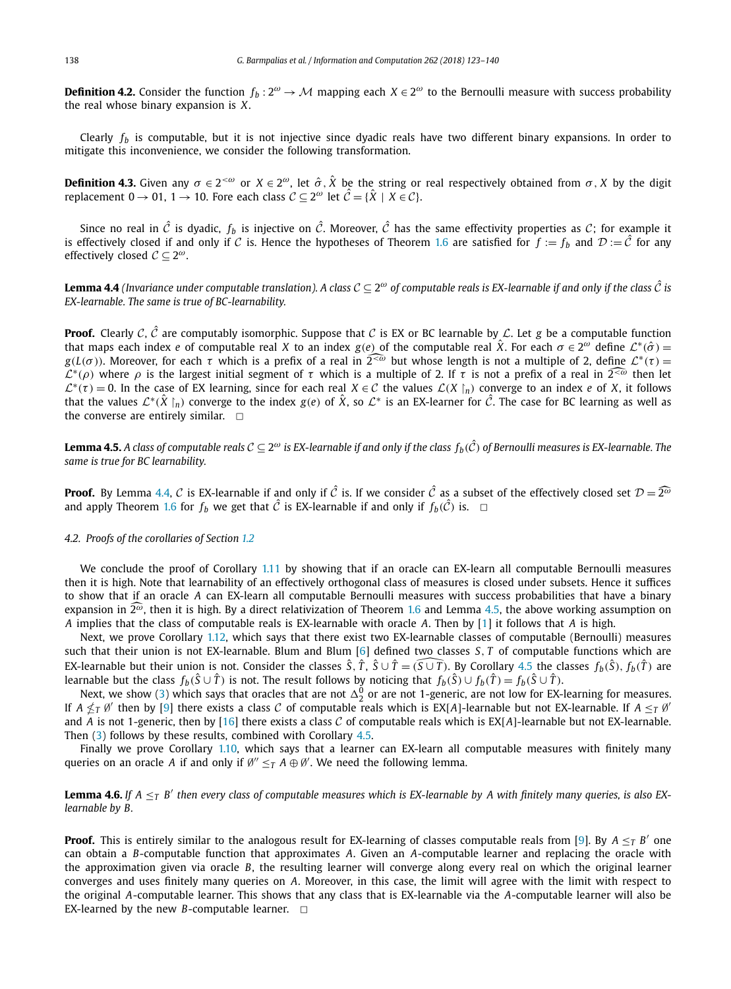<span id="page-15-0"></span>**Definition 4.2.** Consider the function  $f_b: 2^\omega \to M$  mapping each  $X \in 2^\omega$  to the Bernoulli measure with success probability the real whose binary expansion is *X*.

Clearly  $f_b$  is computable, but it is not injective since dyadic reals have two different binary expansions. In order to mitigate this inconvenience, we consider the following transformation.

**Definition 4.3.** Given any  $\sigma \in 2^{<\omega}$  or  $X \in 2^{\omega}$ , let  $\hat{\sigma}$ ,  $\hat{X}$  be the string or real respectively obtained from  $\sigma$ ,  $X$  by the digit replacement  $0 \to 01$ ,  $1 \to 10$ . Fore each class  $C \subset 2^{\omega}$  let  $\hat{C} = {\hat{X} \mid X \in C}$ .

Since no real in  $\hat{C}$  is dyadic,  $f_b$  is injective on  $\hat{C}$ . Moreover,  $\hat{C}$  has the same effectivity properties as C; for example it is effectively closed if and only if C is. Hence the hypotheses of Theorem [1.6](#page-2-0) are satisfied for  $f := f_b$  and  $D := \hat{C}$  for any effectively closed <sup>C</sup> <sup>⊆</sup> <sup>2</sup>*ω*.

**Lemma 4.4** (Invariance under computable translation). A class  $C \subseteq 2^\omega$  of computable reals is EX-learnable if and only if the class  $\hat{C}$  is *EX-learnable. The same is true of BC-learnability.*

**Proof.** Clearly C,  $\hat{C}$  are computably isomorphic. Suppose that C is EX or BC learnable by L. Let g be a computable function that maps each index *e* of computable real *X* to an index *g*(*e*) of the computable real  $\hat{X}$ . For each  $\sigma \in 2^\omega$  define  $\mathcal{L}^*(\hat{\sigma}) =$ *g*(*L*(*σ*)). Moreover, for each *τ* which is a prefix of a real in  $\widehat{2^{<\omega}}$  but whose length is not a multiple of 2, define  $\mathcal{L}^*(\tau)$  =  $L^*(\rho)$  where  $\rho$  is the largest initial segment of *τ* which is a multiple of 2. If *τ* is not a prefix of a real in  $\widehat{L^{<\omega}}$  then let  $\mathcal{L}^*(\tau) = 0$ . In the case of EX learning, since for each real  $X \in \mathcal{C}$  the values  $\mathcal{L}(X \mid n)$  converge to an index *e* of *X*, it follows that the values  $\mathcal{L}^*(\hat{X} \mid_n)$  converge to the index  $g(e)$  of  $\hat{X}$ , so  $\mathcal{L}^*$  is an EX-learner for  $\hat{\mathcal{C}}$ . The case for BC learning as well as the converse are entirely similar.  $\Box$ 

**Lemma 4.5.** A class of computable reals  $C \subseteq 2^\omega$  is EX-learnable if and only if the class  $f_b(\hat{C})$  of Bernoulli measures is EX-learnable. The *same is true for BC learnability.*

**Proof.** By Lemma 4.4, C is EX-learnable if and only if  $\hat{C}$  is. If we consider  $\hat{C}$  as a subset of the effectively closed set  $\mathcal{D} = 2^{\hat{\omega}}$ and apply Theorem [1.6](#page-2-0) for  $f_b$  we get that  $\hat{C}$  is EX-learnable if and only if  $f_b(\hat{C})$  is.  $\Box$ 

#### *4.2. Proofs of the corollaries of Section [1.2](#page-3-0)*

We conclude the proof of Corollary [1.11](#page-3-0) by showing that if an oracle can EX-learn all computable Bernoulli measures then it is high. Note that learnability of an effectively orthogonal class of measures is closed under subsets. Hence it suffices to show that if an oracle *A* can EX-learn all computable Bernoulli measures with success probabilities that have a binary expansion in  $\widehat{2^\omega}$ , then it is high. By a direct relativization of Theorem [1.6](#page-2-0) and Lemma 4.5, the above working assumption on *A* implies that the class of computable reals is EX-learnable with oracle *A*. Then by [\[1\]](#page-16-0) it follows that *A* is high.

Next, we prove Corollary [1.12,](#page-3-0) which says that there exist two EX-learnable classes of computable (Bernoulli) measures such that their union is not EX-learnable. Blum and Blum [\[6\]](#page-16-0) defined two classes *S, T* of computable functions which are EX-learnable but their union is not. Consider the classes  $\hat{S},\hat{T},\hat{S}\cup\hat{T}=(\widehat{S\cup T}).$  By Corollary 4.5 the classes  $f_b(\hat{S}),f_b(\hat{T})$  are learnable but the class  $f_b(\hat{S} \cup \hat{T})$  is not. The result follows by noticing that  $f_b(\hat{S}) \cup f_b(\hat{T}) = f_b(\hat{S} \cup \hat{T})$ .

Next, we show [\(3\)](#page-3-0) which says that oracles that are not  $\Delta^0_2$  or are not 1-generic, are not low for EX-learning for measures. If  $A \nleq_T \emptyset'$  then by [\[9\]](#page-16-0) there exists a class C of computable reals which is EX[*A*]-learnable but not EX-learnable. If  $A \leq_T \emptyset'$ and *A* is not 1-generic, then by [\[16\]](#page-16-0) there exists a class *C* of computable reals which is EX[*A*]-learnable but not EX-learnable. Then [\(3\)](#page-3-0) follows by these results, combined with Corollary 4.5.

Finally we prove Corollary [1.10,](#page-3-0) which says that a learner can EX-learn all computable measures with finitely many queries on an oracle *A* if and only if  $\emptyset'' \leq_T A \oplus \emptyset'$ . We need the following lemma.

**Lemma 4.6.** If  $A \leq_T B'$  then every class of computable measures which is EX-learnable by A with finitely many queries, is also EX*learnable by B.*

**Proof.** This is entirely similar to the analogous result for EX-learning of classes computable reals from [\[9\]](#page-16-0). By  $A \leq_T B'$  one can obtain a *B*-computable function that approximates *A*. Given an *A*-computable learner and replacing the oracle with the approximation given via oracle *B*, the resulting learner will converge along every real on which the original learner converges and uses finitely many queries on *A*. Moreover, in this case, the limit will agree with the limit with respect to the original *A*-computable learner. This shows that any class that is EX-learnable via the *A*-computable learner will also be EX-learned by the new *B*-computable learner.  $\Box$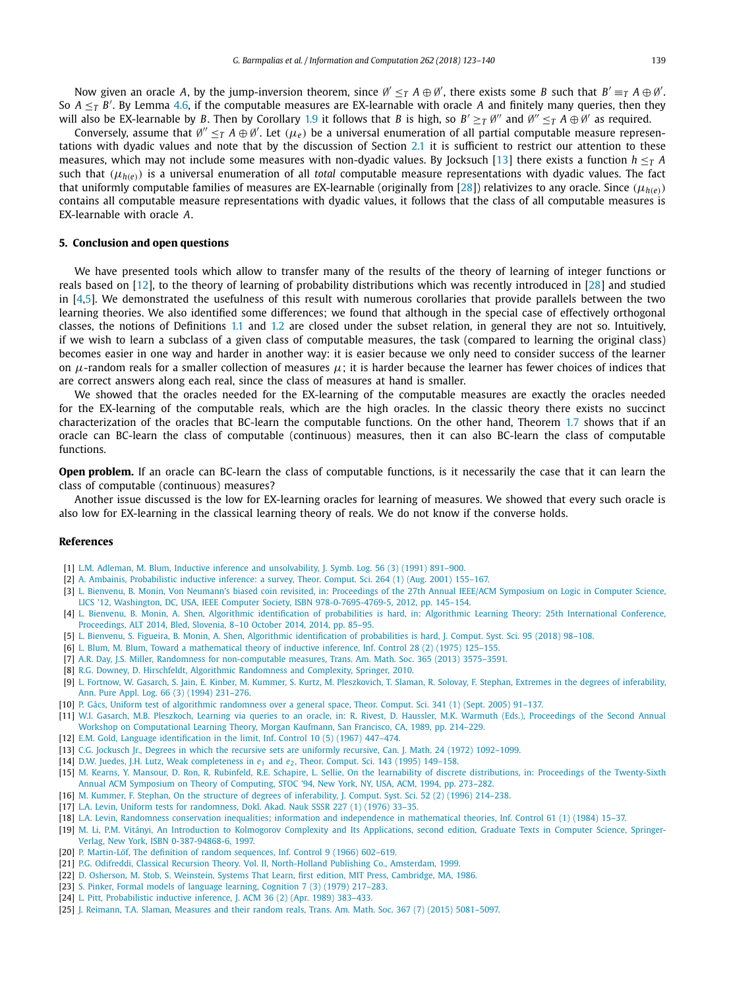<span id="page-16-0"></span>Now given an oracle A, by the jump-inversion theorem, since  $\emptyset' \leq_T A \oplus \emptyset'$ , there exists some B such that  $B' \equiv_T A \oplus \emptyset'$ . So  $A \leq_T B'$ . By Lemma [4.6,](#page-15-0) if the computable measures are EX-learnable with oracle A and finitely many queries, then they will also be EX-learnable by *B*. Then by Corollary [1.9](#page-3-0) it follows that *B* is high, so  $B' \geq_T \theta''$  and  $\theta'' \leq_T A \oplus \theta'$  as required.

Conversely, assume that  $\emptyset'' \leq_T A \oplus \emptyset'.$  Let  $(\mu_e)$  be a universal enumeration of all partial computable measure representations with dyadic values and note that by the discussion of Section [2.1](#page-4-0) it is sufficient to restrict our attention to these measures, which may not include some measures with non-dyadic values. By Jocksuch [13] there exists a function  $h \leq_T A$ such that  $(\mu_{h(e)})$  is a universal enumeration of all *total* computable measure representations with dyadic values. The fact that uniformly computable families of measures are EX-learnable (originally from [\[28\]](#page-17-0)) relativizes to any oracle. Since  $(\mu_{h(e)})$ contains all computable measure representations with dyadic values, it follows that the class of all computable measures is EX-learnable with oracle *A*.

# **5. Conclusion and open questions**

We have presented tools which allow to transfer many of the results of the theory of learning of integer functions or reals based on [12], to the theory of learning of probability distributions which was recently introduced in [\[28\]](#page-17-0) and studied in  $[4,5]$ . We demonstrated the usefulness of this result with numerous corollaries that provide parallels between the two learning theories. We also identified some differences; we found that although in the special case of effectively orthogonal classes, the notions of Definitions [1.1](#page-1-0) and [1.2](#page-2-0) are closed under the subset relation, in general they are not so. Intuitively, if we wish to learn a subclass of a given class of computable measures, the task (compared to learning the original class) becomes easier in one way and harder in another way: it is easier because we only need to consider success of the learner on  $\mu$ -random reals for a smaller collection of measures  $\mu$ ; it is harder because the learner has fewer choices of indices that are correct answers along each real, since the class of measures at hand is smaller.

We showed that the oracles needed for the EX-learning of the computable measures are exactly the oracles needed for the EX-learning of the computable reals, which are the high oracles. In the classic theory there exists no succinct characterization of the oracles that BC-learn the computable functions. On the other hand, Theorem [1.7](#page-3-0) shows that if an oracle can BC-learn the class of computable (continuous) measures, then it can also BC-learn the class of computable functions.

**Open problem.** If an oracle can BC-learn the class of computable functions, is it necessarily the case that it can learn the class of computable (continuous) measures?

Another issue discussed is the low for EX-learning oracles for learning of measures. We showed that every such oracle is also low for EX-learning in the classical learning theory of reals. We do not know if the converse holds.

#### **References**

- [1] L.M. Adleman, M. Blum, Inductive inference and [unsolvability,](http://refhub.elsevier.com/S0890-5401(18)30117-2/bib41646C656D616E423931s1) J. Symb. Log. 56 (3) (1991) 891–900.
- [2] A. Ambainis, [Probabilistic](http://refhub.elsevier.com/S0890-5401(18)30117-2/bib416D6261696E69733A32303031s1) inductive inference: a survey, Theor. Comput. Sci. 264 (1) (Aug. 2001) 155–167.
- [3] L. Bienvenu, B. Monin, Von Neumann's biased coin revisited, in: [Proceedings](http://refhub.elsevier.com/S0890-5401(18)30117-2/bib4269656E76656E753A323031323A564E423A323335s1) of the 27th Annual IEEE/ACM Symposium on Logic in Computer Science, LICS '12, Washington, DC, USA, IEEE Computer Society, [ISBN 978-0-7695-4769-5,](http://refhub.elsevier.com/S0890-5401(18)30117-2/bib4269656E76656E753A323031323A564E423A323335s1) 2012, pp. 145–154.
- [4] L. Bienvenu, B. Monin, A. Shen, Algorithmic [identification](http://refhub.elsevier.com/S0890-5401(18)30117-2/bib4269656E76656E7532303134s1) of probabilities is hard, in: Algorithmic Learning Theory: 25th International Conference, [Proceedings,](http://refhub.elsevier.com/S0890-5401(18)30117-2/bib4269656E76656E7532303134s1) ALT 2014, Bled, Slovenia, 8–10 October 2014, 2014, pp. 85–95.
- [5] L. Bienvenu, S. Figueira, B. Monin, A. Shen, Algorithmic [identification](http://refhub.elsevier.com/S0890-5401(18)30117-2/bib4269656E7665616C67696E6470726Fs1) of probabilities is hard, J. Comput. Syst. Sci. 95 (2018) 98–108.
- [6] L. Blum, M. Blum, Toward a [mathematical](http://refhub.elsevier.com/S0890-5401(18)30117-2/bib424C554D31393735313235s1) theory of inductive inference, Inf. Control 28 (2) (1975) 125–155.
- [7] A.R. Day, J.S. Miller, Randomness for [non-computable](http://refhub.elsevier.com/S0890-5401(18)30117-2/bib444D6E636F6D706D6561s1) measures, Trans. Am. Math. Soc. 365 (2013) 3575–3591.
- [8] R.G. Downey, D. Hirschfeldt, Algorithmic [Randomness](http://refhub.elsevier.com/S0890-5401(18)30117-2/bib726F64656E6973626F6F6Bs1) and Complexity, Springer, 2010.
- [9] L. Fortnow, W. Gasarch, S. Jain, E. Kinber, M. Kummer, S. Kurtz, M. [Pleszkovich,](http://refhub.elsevier.com/S0890-5401(18)30117-2/bib464F52544E4F5731393934323331s1) T. Slaman, R. Solovay, F. Stephan, Extremes in the degrees of inferability, Ann. Pure Appl. Log. 66 (3) (1994) [231–276.](http://refhub.elsevier.com/S0890-5401(18)30117-2/bib464F52544E4F5731393934323331s1)
- [10] P. Gács, Uniform test of algorithmic [randomness](http://refhub.elsevier.com/S0890-5401(18)30117-2/bib476163733A323030353A555441s1) over a general space, Theor. Comput. Sci. 341 (1) (Sept. 2005) 91–137.
- [11] W.I. Gasarch, M.B. Pleszkoch, Learning via queries to an oracle, in: R. Rivest, D. Haussler, M.K. Warmuth (Eds.), [Proceedings](http://refhub.elsevier.com/S0890-5401(18)30117-2/bib4761736172636831393839323134s1) of the Second Annual Workshop on [Computational](http://refhub.elsevier.com/S0890-5401(18)30117-2/bib4761736172636831393839323134s1) Learning Theory, Morgan Kaufmann, San Francisco, CA, 1989, pp. 214–229.
- [12] E.M. Gold, Language [identification](http://refhub.elsevier.com/S0890-5401(18)30117-2/bib474F4C4431393637343437s1) in the limit, Inf. Control 10 (5) (1967) 447–474.
- [13] C.G. Jockusch Jr., Degrees in which the recursive sets are uniformly recursive, Can. J. Math. 24 (1972) [1092–1099.](http://refhub.elsevier.com/S0890-5401(18)30117-2/bib4A6F636B757363683A37322A31s1)
- [14] D.W. Juedes, J.H. Lutz, Weak [completeness](http://refhub.elsevier.com/S0890-5401(18)30117-2/bib4A4C7765616Bs1) in  $e_1$  and  $e_2$ , Theor. Comput. Sci. 143 (1995) 149–158.
- [15] M. Kearns, Y. Mansour, D. Ron, R. Rubinfeld, R.E. Schapire, L. Sellie, On the learnability of discrete distributions, in: Proceedings of the [Twenty-Sixth](http://refhub.elsevier.com/S0890-5401(18)30117-2/bib4B6561726E733A313939343A4C4444s1) Annual ACM Symposium on Theory of Computing, STOC '94, New York, NY, USA, ACM, 1994, [pp. 273–282.](http://refhub.elsevier.com/S0890-5401(18)30117-2/bib4B6561726E733A313939343A4C4444s1)
- [16] M. Kummer, F. Stephan, On the structure of degrees of [inferability,](http://refhub.elsevier.com/S0890-5401(18)30117-2/bib4B554D4D455231393936323134s1) J. Comput. Syst. Sci. 52 (2) (1996) 214–238.
- [17] L.A. Levin, Uniform tests for [randomness,](http://refhub.elsevier.com/S0890-5401(18)30117-2/bib6C6576696E756E69667465737473s1) Dokl. Akad. Nauk SSSR 227 (1) (1976) 33–35.
- [18] L.A. Levin, Randomness conservation inequalities; information and [independence](http://refhub.elsevier.com/S0890-5401(18)30117-2/bib6C6576696E69616E64632F4C6576696E3834s1) in mathematical theories, Inf. Control 61 (1) (1984) 15–37.
- [19] M. Li, P.M. Vitányi, An Introduction to Kolmogorov Complexity and Its [Applications,](http://refhub.elsevier.com/S0890-5401(18)30117-2/bib4C692E566974616E79693A3933s1) second edition, Graduate Texts in Computer Science, Springer-Verlag, New York, [ISBN 0-387-94868-6,](http://refhub.elsevier.com/S0890-5401(18)30117-2/bib4C692E566974616E79693A3933s1) 1997.
- [20] P. [Martin-Löf,](http://refhub.elsevier.com/S0890-5401(18)30117-2/bib4D5230323233313739s1) The definition of random sequences, Inf. Control 9 (1966) 602-619.
- [21] P.G. Odifreddi, Classical Recursion Theory. Vol. II, [North-Holland](http://refhub.elsevier.com/S0890-5401(18)30117-2/bib4F64696672656464693A3939s1) Publishing Co., Amsterdam, 1999.
- [22] D. Osherson, M. Stob, S. Weinstein, Systems That Learn, first edition, MIT Press, [Cambridge,](http://refhub.elsevier.com/S0890-5401(18)30117-2/bib53544C317374s1) MA, 1986.
- [23] S. Pinker, Formal models of language learning, [Cognition](http://refhub.elsevier.com/S0890-5401(18)30117-2/bib50494E4B455231393739323137s1) 7 (3) (1979) 217–283.
- [24] L. Pitt, [Probabilistic](http://refhub.elsevier.com/S0890-5401(18)30117-2/bib506974743A313938393A504949s1) inductive inference, J. ACM 36 (2) (Apr. 1989) 383–433.
- [25] J. Reimann, T.A. Slaman, Measures and their random reals, Trans. Am. Math. Soc. 367 (7) (2015) [5081–5097.](http://refhub.elsevier.com/S0890-5401(18)30117-2/bib526569536C614D5252s1)